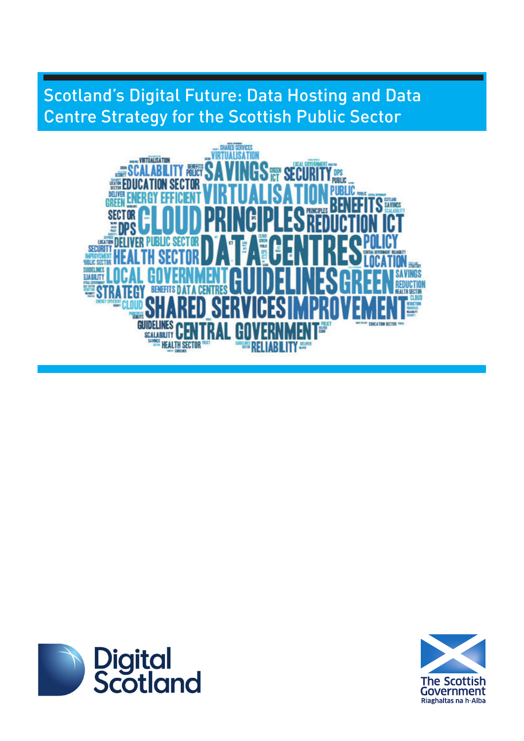# Scotland's Digital Future: Data Hosting and Data Centre Strategy for the Scottish Public Sector





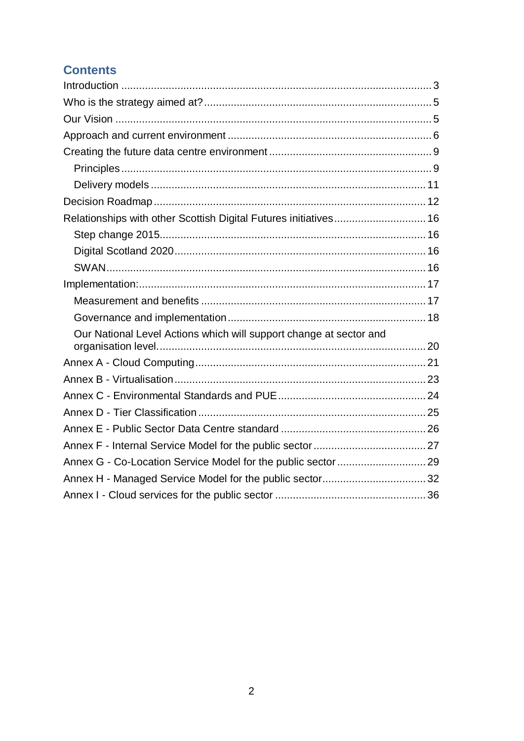## **Contents**

| Relationships with other Scottish Digital Futures initiatives 16   |  |
|--------------------------------------------------------------------|--|
|                                                                    |  |
|                                                                    |  |
|                                                                    |  |
|                                                                    |  |
|                                                                    |  |
|                                                                    |  |
| Our National Level Actions which will support change at sector and |  |
|                                                                    |  |
|                                                                    |  |
|                                                                    |  |
|                                                                    |  |
|                                                                    |  |
|                                                                    |  |
|                                                                    |  |
|                                                                    |  |
|                                                                    |  |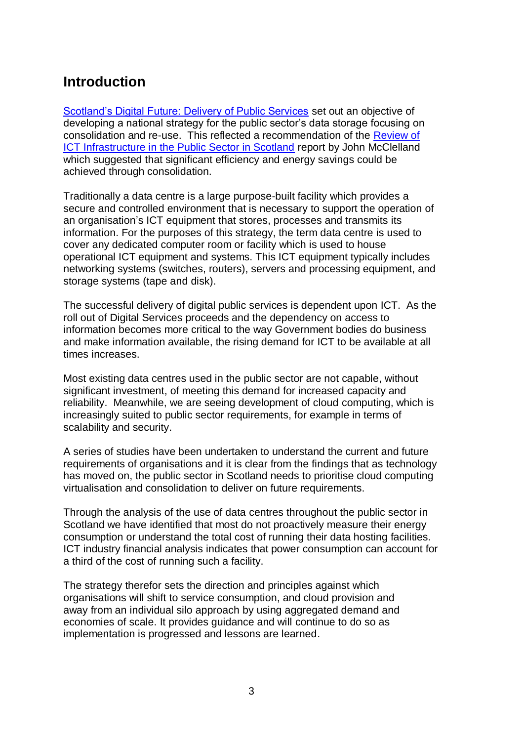# <span id="page-2-0"></span>**Introduction**

[Scotland's Digital Future: Delivery of Public Services](http://www.scotland.gov.uk/Publications/2012/09/6272) set out an objective of developing a national strategy for the public sector's data storage focusing on consolidation and re-use. This reflected a recommendation of the [Review of](http://www.scotland.gov.uk/Resource/Doc/351231/0117794.pdf)  [ICT Infrastructure in the Public Sector in Scotland](http://www.scotland.gov.uk/Resource/Doc/351231/0117794.pdf) report by John McClelland which suggested that significant efficiency and energy savings could be achieved through consolidation.

Traditionally a data centre is a large purpose-built facility which provides a secure and controlled environment that is necessary to support the operation of an organisation's ICT equipment that stores, processes and transmits its information. For the purposes of this strategy, the term data centre is used to cover any dedicated computer room or facility which is used to house operational ICT equipment and systems. This ICT equipment typically includes networking systems (switches, routers), servers and processing equipment, and storage systems (tape and disk).

The successful delivery of digital public services is dependent upon ICT. As the roll out of Digital Services proceeds and the dependency on access to information becomes more critical to the way Government bodies do business and make information available, the rising demand for ICT to be available at all times increases.

Most existing data centres used in the public sector are not capable, without significant investment, of meeting this demand for increased capacity and reliability. Meanwhile, we are seeing development of cloud computing, which is increasingly suited to public sector requirements, for example in terms of scalability and security.

A series of studies have been undertaken to understand the current and future requirements of organisations and it is clear from the findings that as technology has moved on, the public sector in Scotland needs to prioritise cloud computing virtualisation and consolidation to deliver on future requirements.

Through the analysis of the use of data centres throughout the public sector in Scotland we have identified that most do not proactively measure their energy consumption or understand the total cost of running their data hosting facilities. ICT industry financial analysis indicates that power consumption can account for a third of the cost of running such a facility.

The strategy therefor sets the direction and principles against which organisations will shift to service consumption, and cloud provision and away from an individual silo approach by using aggregated demand and economies of scale. It provides guidance and will continue to do so as implementation is progressed and lessons are learned.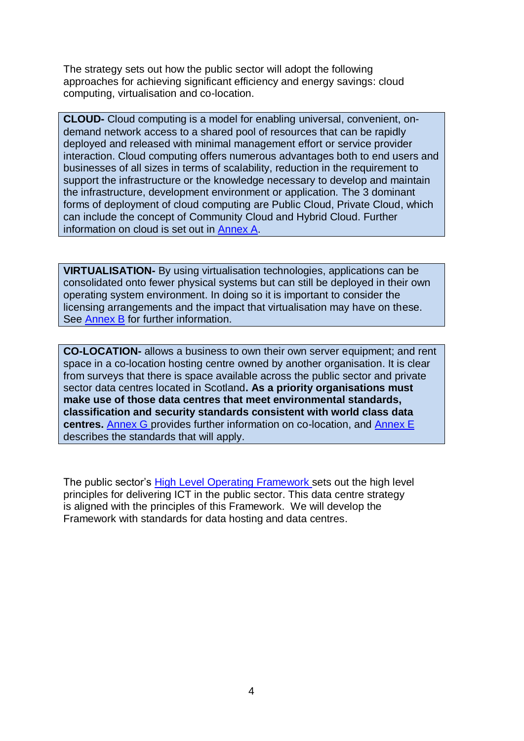The strategy sets out how the public sector will adopt the following approaches for achieving significant efficiency and energy savings: cloud computing, virtualisation and co-location.

**CLOUD-** Cloud computing is a model for enabling universal, convenient, ondemand network access to a shared pool of resources that can be rapidly deployed and released with minimal management effort or service provider interaction. Cloud computing offers numerous advantages both to end users and businesses of all sizes in terms of scalability, reduction in the requirement to support the infrastructure or the knowledge necessary to develop and maintain the infrastructure, development environment or application. The 3 dominant forms of deployment of cloud computing are Public Cloud, Private Cloud, which can include the concept of Community Cloud and Hybrid Cloud. Further information on cloud is set out in [Annex A.](#page-20-0)

**VIRTUALISATION-** By using virtualisation technologies, applications can be consolidated onto fewer physical systems but can still be deployed in their own operating system environment. In doing so it is important to consider the licensing arrangements and the impact that virtualisation may have on these. See [Annex B](#page-22-0) for further information.

**CO-LOCATION-** allows a business to own their own server equipment; and rent space in a co-location hosting centre owned by another organisation. It is clear from surveys that there is space available across the public sector and private sector data centres located in Scotland**. As a priority organisations must make use of those data centres that meet environmental standards, classification and security standards consistent with world class data centres.** [Annex G](#page-28-0) provides further information on co-location, and [Annex E](#page-25-0) describes the standards that will apply.

The public sector's [High Level Operating Framework](http://www.scotland.gov.uk/Topics/Economy/digital/digitalservices/HLOF) sets out the high level principles for delivering ICT in the public sector. This data centre strategy is aligned with the principles of this Framework. We will develop the Framework with standards for data hosting and data centres.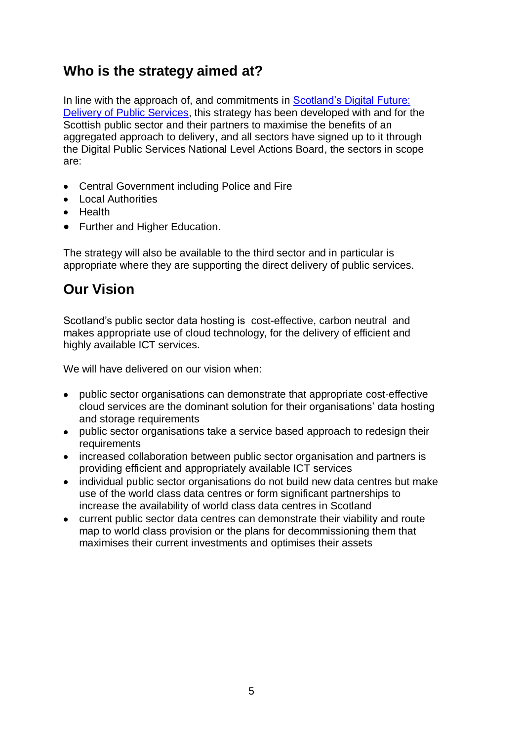# <span id="page-4-0"></span>**Who is the strategy aimed at?**

In line with the approach of, and commitments in Scotland's Digital Future: [Delivery of Public Services,](http://www.scotland.gov.uk/Publications/2012/09/6272) this strategy has been developed with and for the Scottish public sector and their partners to maximise the benefits of an aggregated approach to delivery, and all sectors have signed up to it through the Digital Public Services National Level Actions Board, the sectors in scope are:

- Central Government including Police and Fire
- Local Authorities
- Health
- Further and Higher Education.

The strategy will also be available to the third sector and in particular is appropriate where they are supporting the direct delivery of public services.

# <span id="page-4-1"></span>**Our Vision**

Scotland's public sector data hosting is cost-effective, carbon neutral and makes appropriate use of cloud technology, for the delivery of efficient and highly available ICT services.

We will have delivered on our vision when:

- public sector organisations can demonstrate that appropriate cost-effective cloud services are the dominant solution for their organisations' data hosting and storage requirements
- public sector organisations take a service based approach to redesign their requirements
- increased collaboration between public sector organisation and partners is providing efficient and appropriately available ICT services
- individual public sector organisations do not build new data centres but make use of the world class data centres or form significant partnerships to increase the availability of world class data centres in Scotland
- current public sector data centres can demonstrate their viability and route map to world class provision or the plans for decommissioning them that maximises their current investments and optimises their assets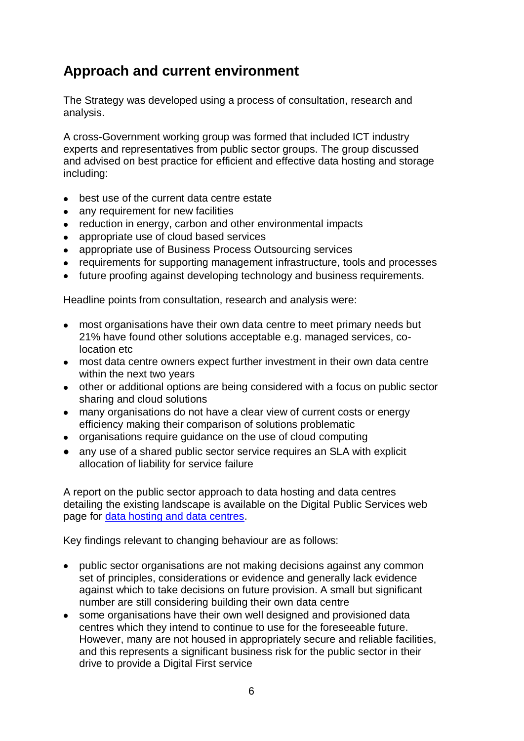# <span id="page-5-0"></span>**Approach and current environment**

The Strategy was developed using a process of consultation, research and analysis.

A cross-Government working group was formed that included ICT industry experts and representatives from public sector groups. The group discussed and advised on best practice for efficient and effective data hosting and storage including:

- best use of the current data centre estate
- any requirement for new facilities
- reduction in energy, carbon and other environmental impacts
- appropriate use of cloud based services
- appropriate use of Business Process Outsourcing services
- requirements for supporting management infrastructure, tools and processes
- future proofing against developing technology and business requirements.

Headline points from consultation, research and analysis were:

- most organisations have their own data centre to meet primary needs but 21% have found other solutions acceptable e.g. managed services, colocation etc
- most data centre owners expect further investment in their own data centre within the next two years
- other or additional options are being considered with a focus on public sector sharing and cloud solutions
- many organisations do not have a clear view of current costs or energy efficiency making their comparison of solutions problematic
- organisations require quidance on the use of cloud computing
- any use of a shared public sector service requires an SLA with explicit allocation of liability for service failure

A report on the public sector approach to data hosting and data centres detailing the existing landscape is available on the Digital Public Services web page for [data hosting and data centres.](http://www.scotland.gov.uk/Topics/Economy/digital/digitalservices/datahostingdatacentres)

Key findings relevant to changing behaviour are as follows:

- public sector organisations are not making decisions against any common set of principles, considerations or evidence and generally lack evidence against which to take decisions on future provision. A small but significant number are still considering building their own data centre
- some organisations have their own well designed and provisioned data centres which they intend to continue to use for the foreseeable future. However, many are not housed in appropriately secure and reliable facilities, and this represents a significant business risk for the public sector in their drive to provide a Digital First service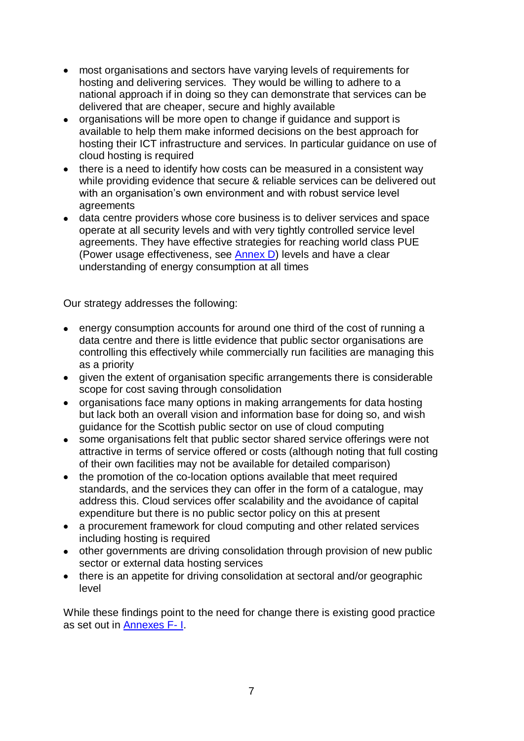- most organisations and sectors have varying levels of requirements for hosting and delivering services. They would be willing to adhere to a national approach if in doing so they can demonstrate that services can be delivered that are cheaper, secure and highly available
- organisations will be more open to change if guidance and support is available to help them make informed decisions on the best approach for hosting their ICT infrastructure and services. In particular guidance on use of cloud hosting is required
- there is a need to identify how costs can be measured in a consistent way while providing evidence that secure & reliable services can be delivered out with an organisation's own environment and with robust service level agreements
- data centre providers whose core business is to deliver services and space operate at all security levels and with very tightly controlled service level agreements. They have effective strategies for reaching world class PUE (Power usage effectiveness, see [Annex D\)](#page-23-0) levels and have a clear understanding of energy consumption at all times

Our strategy addresses the following:

- energy consumption accounts for around one third of the cost of running a data centre and there is little evidence that public sector organisations are controlling this effectively while commercially run facilities are managing this as a priority
- given the extent of organisation specific arrangements there is considerable scope for cost saving through consolidation
- organisations face many options in making arrangements for data hosting but lack both an overall vision and information base for doing so, and wish guidance for the Scottish public sector on use of cloud computing
- some organisations felt that public sector shared service offerings were not attractive in terms of service offered or costs (although noting that full costing of their own facilities may not be available for detailed comparison)
- the promotion of the co-location options available that meet required standards, and the services they can offer in the form of a catalogue, may address this. Cloud services offer scalability and the avoidance of capital expenditure but there is no public sector policy on this at present
- a procurement framework for cloud computing and other related services including hosting is required
- other governments are driving consolidation through provision of new public sector or external data hosting services
- there is an appetite for driving consolidation at sectoral and/or geographic level

While these findings point to the need for change there is existing good practice as set out in [Annexes F-](#page-26-0) I.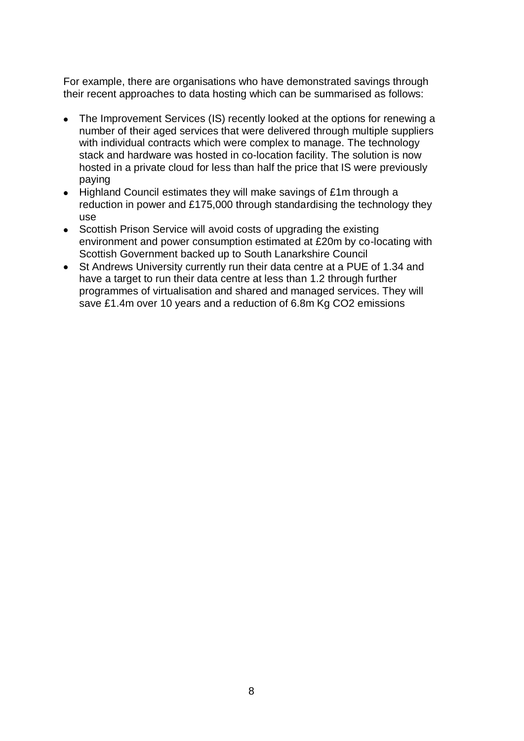For example, there are organisations who have demonstrated savings through their recent approaches to data hosting which can be summarised as follows:

- The Improvement Services (IS) recently looked at the options for renewing a number of their aged services that were delivered through multiple suppliers with individual contracts which were complex to manage. The technology stack and hardware was hosted in co-location facility. The solution is now hosted in a private cloud for less than half the price that IS were previously paying
- Highland Council estimates they will make savings of £1m through a reduction in power and £175,000 through standardising the technology they use
- Scottish Prison Service will avoid costs of upgrading the existing environment and power consumption estimated at £20m by co-locating with Scottish Government backed up to South Lanarkshire Council
- St Andrews University currently run their data centre at a PUE of 1.34 and have a target to run their data centre at less than 1.2 through further programmes of virtualisation and shared and managed services. They will save £1.4m over 10 years and a reduction of 6.8m Kg CO2 emissions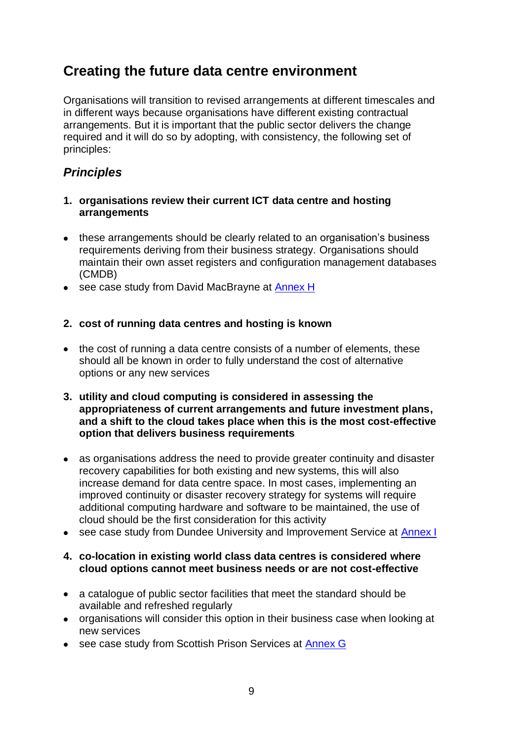## <span id="page-8-0"></span>**Creating the future data centre environment**

Organisations will transition to revised arrangements at different timescales and in different ways because organisations have different existing contractual arrangements. But it is important that the public sector delivers the change required and it will do so by adopting, with consistency, the following set of principles:

## <span id="page-8-1"></span>*Principles*

- **1. organisations review their current ICT data centre and hosting arrangements**
- these arrangements should be clearly related to an organisation's business requirements deriving from their business strategy. Organisations should maintain their own asset registers and configuration management databases (CMDB)
- see case study from David MacBrayne at **Annex H**

### **2. cost of running data centres and hosting is known**

- the cost of running a data centre consists of a number of elements, these should all be known in order to fully understand the cost of alternative options or any new services
- **3. utility and cloud computing is considered in assessing the appropriateness of current arrangements and future investment plans, and a shift to the cloud takes place when this is the most cost-effective option that delivers business requirements**
- as organisations address the need to provide greater continuity and disaster recovery capabilities for both existing and new systems, this will also increase demand for data centre space. In most cases, implementing an improved continuity or disaster recovery strategy for systems will require additional computing hardware and software to be maintained, the use of cloud should be the first consideration for this activity
- see case study from Dundee University and Improvement Service at [Annex I](#page-35-0)

### **4. co-location in existing world class data centres is considered where cloud options cannot meet business needs or are not cost-effective**

- a catalogue of public sector facilities that meet the standard should be available and refreshed regularly
- organisations will consider this option in their business case when looking at new services
- see case study from Scottish Prison Services at [Annex G](#page-28-0)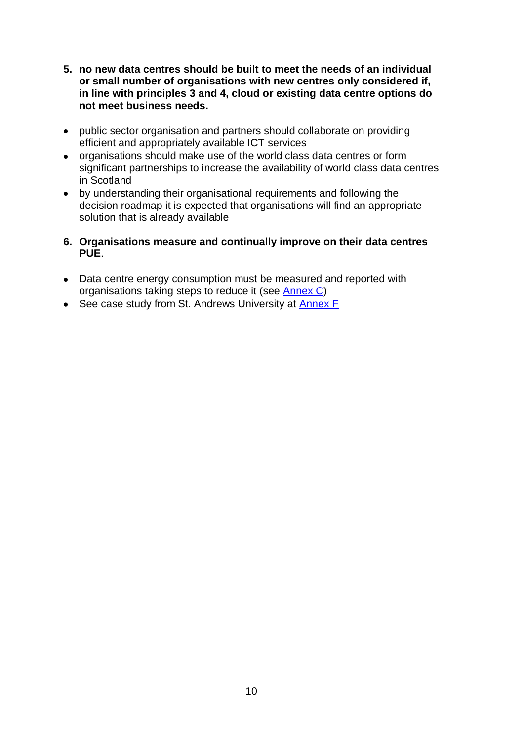- **5. no new data centres should be built to meet the needs of an individual or small number of organisations with new centres only considered if, in line with principles 3 and 4, cloud or existing data centre options do not meet business needs.**
- public sector organisation and partners should collaborate on providing efficient and appropriately available ICT services
- organisations should make use of the world class data centres or form significant partnerships to increase the availability of world class data centres in Scotland
- by understanding their organisational requirements and following the decision roadmap it is expected that organisations will find an appropriate solution that is already available
- **6. Organisations measure and continually improve on their data centres PUE**.
- Data centre energy consumption must be measured and reported with organisations taking steps to reduce it (see [Annex C\)](#page-23-0)
- See case study from St. Andrews University at [Annex F](#page-26-0)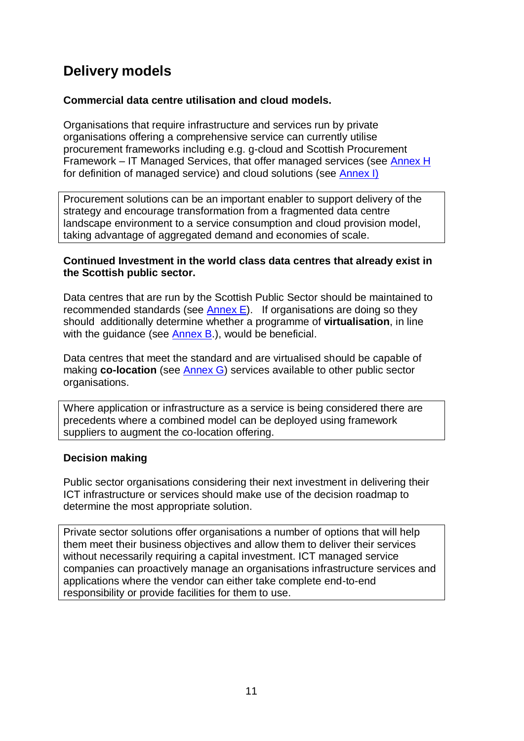# <span id="page-10-0"></span>**Delivery models**

### **Commercial data centre utilisation and cloud models.**

Organisations that require infrastructure and services run by private organisations offering a comprehensive service can currently utilise procurement frameworks including e.g. g-cloud and Scottish Procurement Framework – IT Managed Services, that offer managed services (see [Annex H](#page-31-0) for definition of managed service) and cloud solutions (see [Annex I\)](#page-35-0)

Procurement solutions can be an important enabler to support delivery of the strategy and encourage transformation from a fragmented data centre landscape environment to a service consumption and cloud provision model, taking advantage of aggregated demand and economies of scale.

### **Continued Investment in the world class data centres that already exist in the Scottish public sector.**

Data centres that are run by the Scottish Public Sector should be maintained to recommended standards (see [Annex E\)](#page-26-0). If organisations are doing so they should additionally determine whether a programme of **virtualisation**, in line with the quidance (see [Annex B.](#page-22-0)), would be beneficial.

Data centres that meet the standard and are virtualised should be capable of making **co-location** (see [Annex G\)](#page-28-0) services available to other public sector organisations.

Where application or infrastructure as a service is being considered there are precedents where a combined model can be deployed using framework suppliers to augment the co-location offering.

### **Decision making**

Public sector organisations considering their next investment in delivering their ICT infrastructure or services should make use of the decision roadmap to determine the most appropriate solution.

Private sector solutions offer organisations a number of options that will help them meet their business objectives and allow them to deliver their services without necessarily requiring a capital investment. ICT managed service companies can proactively manage an organisations infrastructure services and applications where the vendor can either take complete end-to-end responsibility or provide facilities for them to use.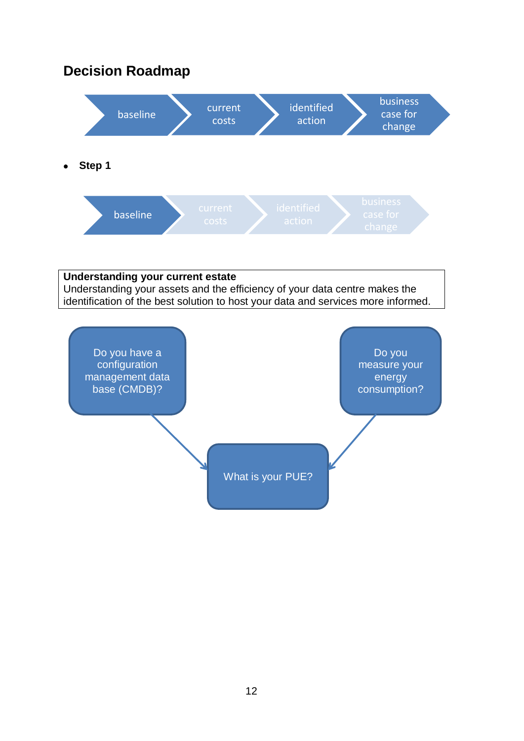# <span id="page-11-0"></span>**Decision Roadmap**



### **Understanding your current estate** Understanding your assets and the efficiency of your data centre makes the identification of the best solution to host your data and services more informed.

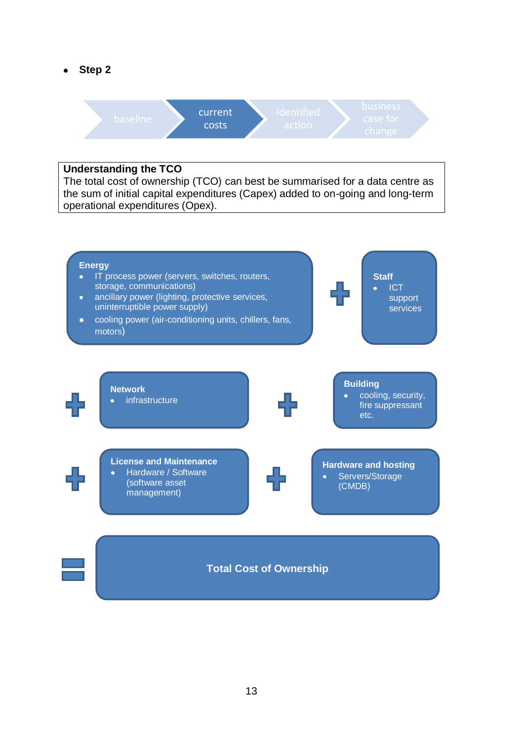**Step 2**



### **Understanding the TCO**

The total cost of ownership (TCO) can best be summarised for a data centre as the sum of initial capital expenditures (Capex) added to on-going and long-term operational expenditures (Opex).

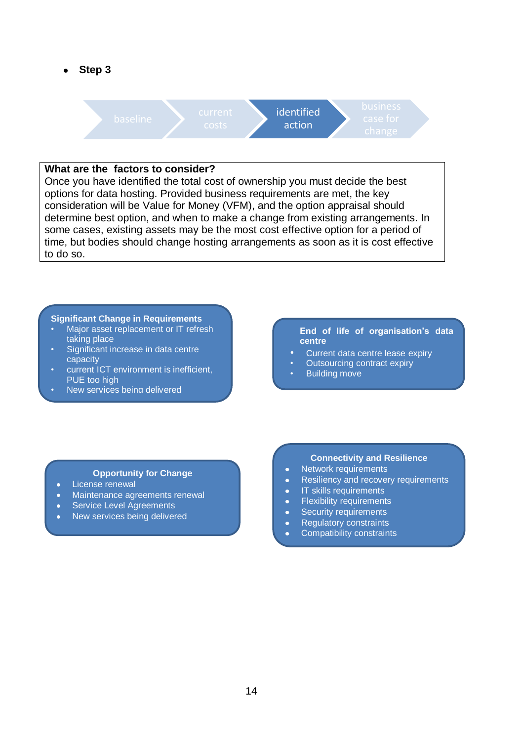**Step 3**



### **What are the factors to consider?**

Once you have identified the total cost of ownership you must decide the best options for data hosting. Provided business requirements are met, the key consideration will be Value for Money (VFM), and the option appraisal should determine best option, and when to make a change from existing arrangements. In some cases, existing assets may be the most cost effective option for a period of time, but bodies should change hosting arrangements as soon as it is cost effective to do so.

#### **Significant Change in Requirements**

- Major asset replacement or IT refresh taking place
- Significant increase in data centre capacity
- current ICT environment is inefficient, PUE too high
- New services being delivered

#### **End of life of organisation's data centre**

- Current data centre lease expiry
- Outsourcing contract expiry
- **Building move**

#### **Opportunity for Change**

- License renewal  $\bullet$
- Maintenance agreements renewal  $\bullet$
- Service Level Agreements  $\bullet$
- New services being delivered

#### **Connectivity and Resilience**

- Network requirements  $\bullet$
- Resiliency and recovery requirements  $\bullet$
- IT skills requirements  $\bullet$
- Flexibility requirements
- Security requirements  $\bullet$
- Regulatory constraints
- Compatibility constraints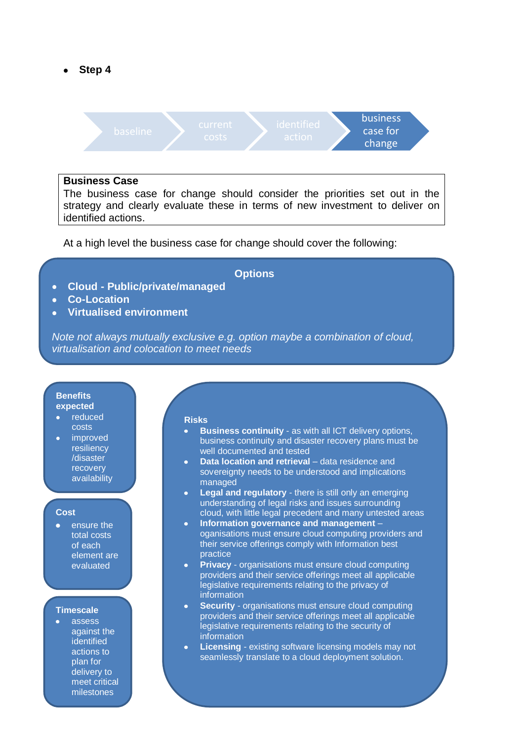**Step 4**



#### **Business Case**

The business case for change should consider the priorities set out in the strategy and clearly evaluate these in terms of new investment to deliver on identified actions.

At a high level the business case for change should cover the following:

### **Options**

- **Cloud - Public/private/managed**  $\bullet$
- **Co-Location** A
- **Virtualised environment**  $\bullet$

*Note not always mutually exclusive e.g. option maybe a combination of cloud, virtualisation and colocation to meet needs*

#### **Benefits expected**

- reduced costs
- improved resiliency /disaster recovery availability

#### **Cost**

• ensure the total costs of each element are evaluated

#### **Timescale**

assess against the identified actions to plan for delivery to meet critical milestones

#### **Risks**

- **Business continuity** as with all ICT delivery options, business continuity and disaster recovery plans must be well documented and tested
- **Data location and retrieval** data residence and sovereignty needs to be understood and implications managed
- **Legal and regulatory** there is still only an emerging understanding of legal risks and issues surrounding cloud, with little legal precedent and many untested areas
- **Information governance and management**  oganisations must ensure cloud computing providers and their service offerings comply with Information best practice
- **Privacy** organisations must ensure cloud computing providers and their service offerings meet all applicable legislative requirements relating to the privacy of information
- **Security** organisations must ensure cloud computing providers and their service offerings meet all applicable legislative requirements relating to the security of information
- **Licensing** existing software licensing models may not seamlessly translate to a cloud deployment solution.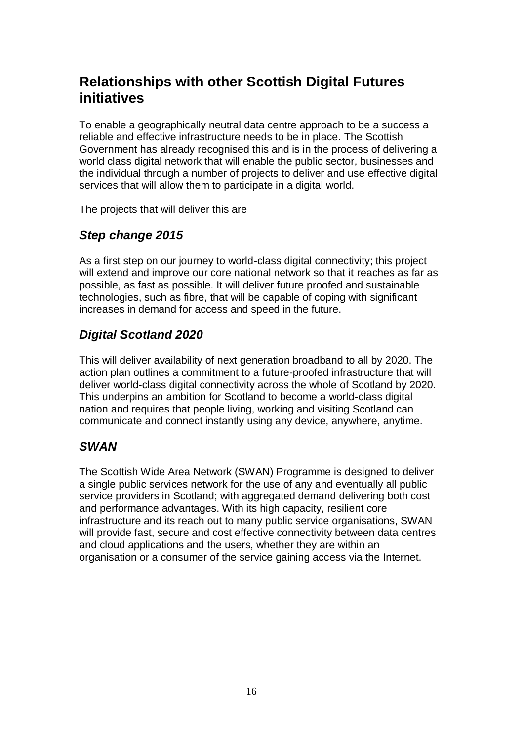# <span id="page-15-0"></span>**Relationships with other Scottish Digital Futures initiatives**

To enable a geographically neutral data centre approach to be a success a reliable and effective infrastructure needs to be in place. The Scottish Government has already recognised this and is in the process of delivering a world class digital network that will enable the public sector, businesses and the individual through a number of projects to deliver and use effective digital services that will allow them to participate in a digital world.

The projects that will deliver this are

### <span id="page-15-1"></span>*Step change 2015*

As a first step on our journey to world-class digital connectivity; this project will extend and improve our core national network so that it reaches as far as possible, as fast as possible. It will deliver future proofed and sustainable technologies, such as fibre, that will be capable of coping with significant increases in demand for access and speed in the future.

### <span id="page-15-2"></span>*Digital Scotland 2020*

This will deliver availability of next generation broadband to all by 2020. The action plan outlines a commitment to a future-proofed infrastructure that will deliver world-class digital connectivity across the whole of Scotland by 2020. This underpins an ambition for Scotland to become a world-class digital nation and requires that people living, working and visiting Scotland can communicate and connect instantly using any device, anywhere, anytime.

### <span id="page-15-3"></span>*SWAN*

The Scottish Wide Area Network (SWAN) Programme is designed to deliver a single public services network for the use of any and eventually all public service providers in Scotland; with aggregated demand delivering both cost and performance advantages. With its high capacity, resilient core infrastructure and its reach out to many public service organisations, SWAN will provide fast, secure and cost effective connectivity between data centres and cloud applications and the users, whether they are within an organisation or a consumer of the service gaining access via the Internet.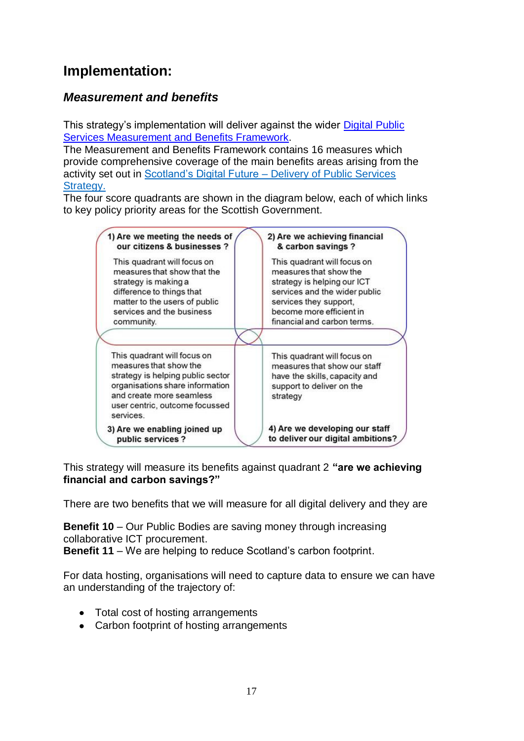# <span id="page-16-0"></span>**Implementation:**

## <span id="page-16-1"></span>*Measurement and benefits*

This strategy's implementation will deliver against the wider [Digital Public](http://www.scotland.gov.uk/Topics/Economy/digital/digitalservices/MandBframework)  [Services Measurement and Benefits Framework.](http://www.scotland.gov.uk/Topics/Economy/digital/digitalservices/MandBframework)

The Measurement and Benefits Framework contains 16 measures which provide comprehensive coverage of the main benefits areas arising from the activity set out in Scotland's Digital Future – [Delivery of Public Services](http://www.scotland.gov.uk/Publications/2012/09/6272)  Strategy.

The four score quadrants are shown in the diagram below, each of which links to key policy priority areas for the Scottish Government.

| 1) Are we meeting the needs of                                                                                                                                                                           | 2) Are we achieving financial                                                                                                         |
|----------------------------------------------------------------------------------------------------------------------------------------------------------------------------------------------------------|---------------------------------------------------------------------------------------------------------------------------------------|
| our citizens & businesses ?                                                                                                                                                                              | & carbon savings?                                                                                                                     |
| This quadrant will focus on                                                                                                                                                                              | This quadrant will focus on                                                                                                           |
| measures that show that the                                                                                                                                                                              | measures that show the                                                                                                                |
| strategy is making a                                                                                                                                                                                     | strategy is helping our ICT                                                                                                           |
| difference to things that                                                                                                                                                                                | services and the wider public                                                                                                         |
| matter to the users of public                                                                                                                                                                            | services they support,                                                                                                                |
| services and the business                                                                                                                                                                                | become more efficient in                                                                                                              |
| community.                                                                                                                                                                                               | financial and carbon terms.                                                                                                           |
| This quadrant will focus on<br>measures that show the<br>strategy is helping public sector<br>organisations share information<br>and create more seamless<br>user centric, outcome focussed<br>services. | This quadrant will focus on<br>measures that show our staff<br>have the skills, capacity and<br>support to deliver on the<br>strategy |
| 3) Are we enabling joined up                                                                                                                                                                             | 4) Are we developing our staff                                                                                                        |
| public services?                                                                                                                                                                                         | to deliver our digital ambitions?                                                                                                     |

This strategy will measure its benefits against quadrant 2 **"are we achieving financial and carbon savings?"**

There are two benefits that we will measure for all digital delivery and they are

**Benefit 10** – Our Public Bodies are saving money through increasing collaborative ICT procurement.

**Benefit 11** – We are helping to reduce Scotland's carbon footprint.

For data hosting, organisations will need to capture data to ensure we can have an understanding of the trajectory of:

- Total cost of hosting arrangements
- Carbon footprint of hosting arrangements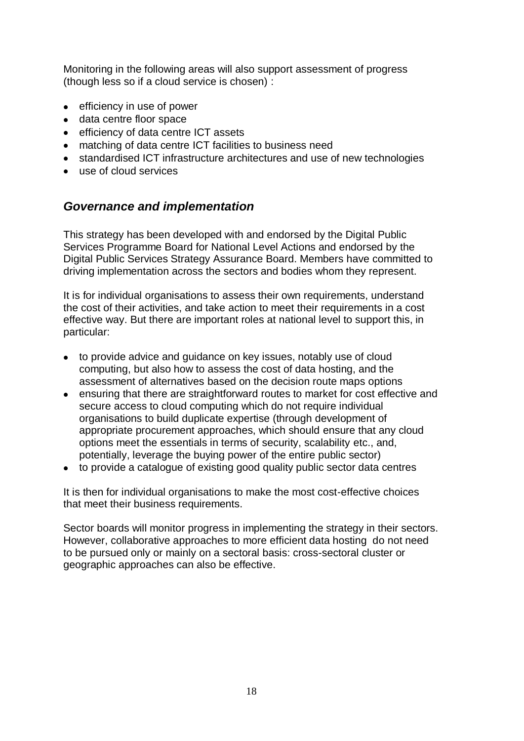Monitoring in the following areas will also support assessment of progress (though less so if a cloud service is chosen) :

- efficiency in use of power
- data centre floor space
- efficiency of data centre ICT assets
- matching of data centre ICT facilities to business need
- standardised ICT infrastructure architectures and use of new technologies
- use of cloud services

### <span id="page-17-0"></span>*Governance and implementation*

This strategy has been developed with and endorsed by the Digital Public Services Programme Board for National Level Actions and endorsed by the Digital Public Services Strategy Assurance Board. Members have committed to driving implementation across the sectors and bodies whom they represent.

It is for individual organisations to assess their own requirements, understand the cost of their activities, and take action to meet their requirements in a cost effective way. But there are important roles at national level to support this, in particular:

- to provide advice and guidance on key issues, notably use of cloud computing, but also how to assess the cost of data hosting, and the assessment of alternatives based on the decision route maps options
- ensuring that there are straightforward routes to market for cost effective and secure access to cloud computing which do not require individual organisations to build duplicate expertise (through development of appropriate procurement approaches, which should ensure that any cloud options meet the essentials in terms of security, scalability etc., and, potentially, leverage the buying power of the entire public sector)
- to provide a catalogue of existing good quality public sector data centres

It is then for individual organisations to make the most cost-effective choices that meet their business requirements.

Sector boards will monitor progress in implementing the strategy in their sectors. However, collaborative approaches to more efficient data hosting do not need to be pursued only or mainly on a sectoral basis: cross-sectoral cluster or geographic approaches can also be effective.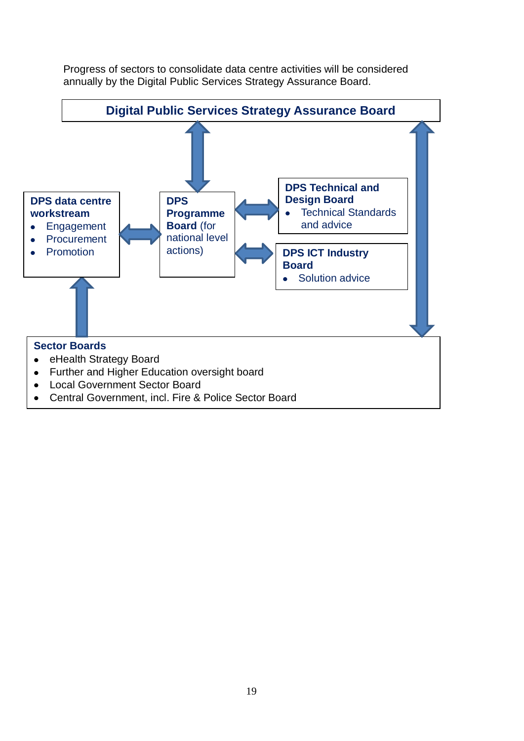Progress of sectors to consolidate data centre activities will be considered annually by the Digital Public Services Strategy Assurance Board.

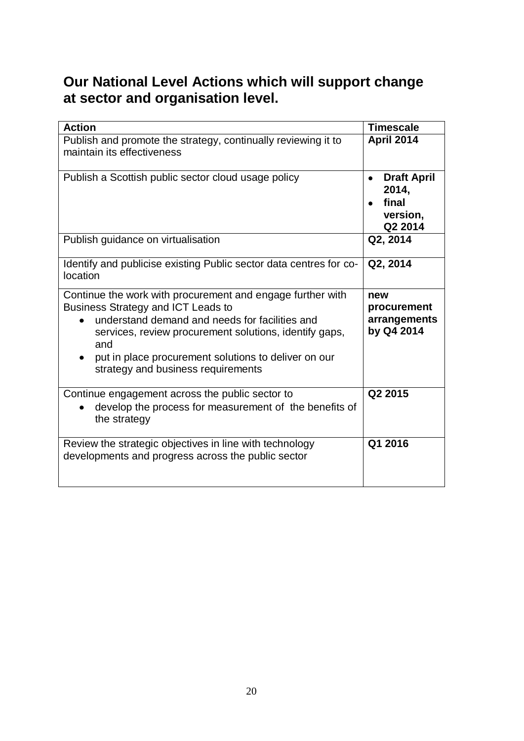# <span id="page-19-0"></span>**Our National Level Actions which will support change at sector and organisation level.**

| <b>Action</b>                                                                                                                                                                                                                                                                                                     | <b>Timescale</b>                                            |
|-------------------------------------------------------------------------------------------------------------------------------------------------------------------------------------------------------------------------------------------------------------------------------------------------------------------|-------------------------------------------------------------|
| Publish and promote the strategy, continually reviewing it to<br>maintain its effectiveness                                                                                                                                                                                                                       | April 2014                                                  |
| Publish a Scottish public sector cloud usage policy                                                                                                                                                                                                                                                               | <b>Draft April</b><br>2014,<br>final<br>version,<br>Q2 2014 |
| Publish guidance on virtualisation                                                                                                                                                                                                                                                                                | Q2, 2014                                                    |
| Identify and publicise existing Public sector data centres for co-<br>location                                                                                                                                                                                                                                    | Q2, 2014                                                    |
| Continue the work with procurement and engage further with<br>Business Strategy and ICT Leads to<br>understand demand and needs for facilities and<br>services, review procurement solutions, identify gaps,<br>and<br>put in place procurement solutions to deliver on our<br>strategy and business requirements | new<br>procurement<br>arrangements<br>by Q4 2014            |
| Continue engagement across the public sector to<br>develop the process for measurement of the benefits of<br>the strategy                                                                                                                                                                                         | Q2 2015                                                     |
| Review the strategic objectives in line with technology<br>developments and progress across the public sector                                                                                                                                                                                                     | Q1 2016                                                     |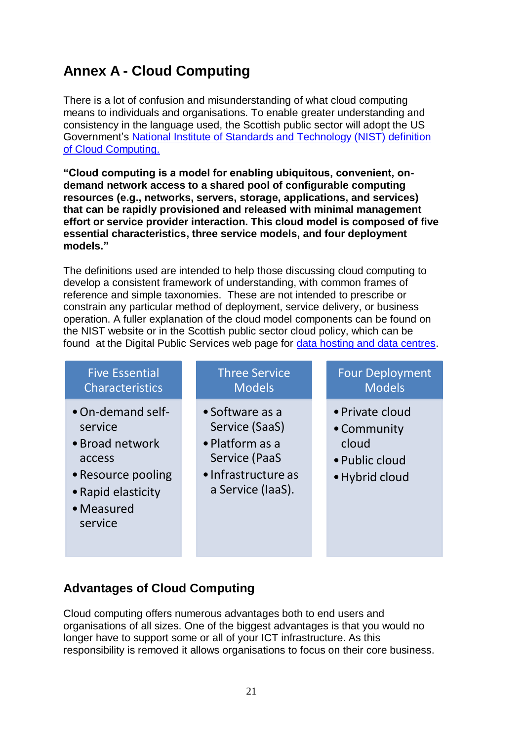# <span id="page-20-0"></span>**Annex A - Cloud Computing**

There is a lot of confusion and misunderstanding of what cloud computing means to individuals and organisations. To enable greater understanding and consistency in the language used, the Scottish public sector will adopt the US Government's [National Institute of Standards and Technology \(NIST\) definition](http://csrc.nist.gov/publications/nistpubs/800-145/SP800-145.pdf)  [of Cloud Computing.](http://csrc.nist.gov/publications/nistpubs/800-145/SP800-145.pdf)

**"Cloud computing is a model for enabling ubiquitous, convenient, ondemand network access to a shared pool of configurable computing resources (e.g., networks, servers, storage, applications, and services) that can be rapidly provisioned and released with minimal management effort or service provider interaction. This cloud model is composed of five essential characteristics, three service models, and four deployment models."**

The definitions used are intended to help those discussing cloud computing to develop a consistent framework of understanding, with common frames of reference and simple taxonomies. These are not intended to prescribe or constrain any particular method of deployment, service delivery, or business operation. A fuller explanation of the cloud model components can be found on the NIST website or in the Scottish public sector cloud policy, which can be found at the Digital Public Services web page for [data hosting and data centres.](http://www.scotland.gov.uk/Topics/Economy/digital/digitalservices/datahostingdatacentres)

| <b>Five Essential</b><br><b>Characteristics</b>                                                                                | <b>Three Service</b><br><b>Models</b>                                                                             | <b>Four Deployment</b><br><b>Models</b>                                     |
|--------------------------------------------------------------------------------------------------------------------------------|-------------------------------------------------------------------------------------------------------------------|-----------------------------------------------------------------------------|
| • On-demand self-<br>service<br>• Broad network<br>access<br>• Resource pooling<br>• Rapid elasticity<br>• Measured<br>service | • Software as a<br>Service (SaaS)<br>• Platform as a<br>Service (PaaS<br>• Infrastructure as<br>a Service (laaS). | • Private cloud<br>• Community<br>cloud<br>• Public cloud<br>• Hybrid cloud |

## **Advantages of Cloud Computing**

Cloud computing offers numerous advantages both to end users and organisations of all sizes. One of the biggest advantages is that you would no longer have to support some or all of your ICT infrastructure. As this responsibility is removed it allows organisations to focus on their core business.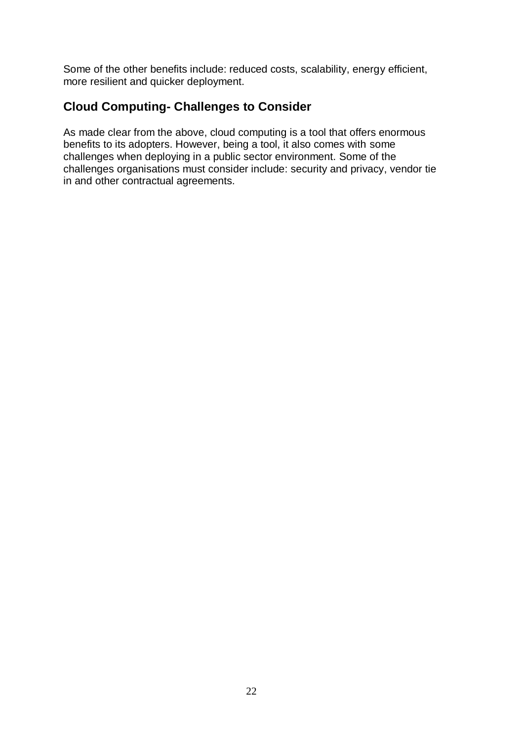Some of the other benefits include: reduced costs, scalability, energy efficient, more resilient and quicker deployment.

### **Cloud Computing- Challenges to Consider**

As made clear from the above, cloud computing is a tool that offers enormous benefits to its adopters. However, being a tool, it also comes with some challenges when deploying in a public sector environment. Some of the challenges organisations must consider include: security and privacy, vendor tie in and other contractual agreements.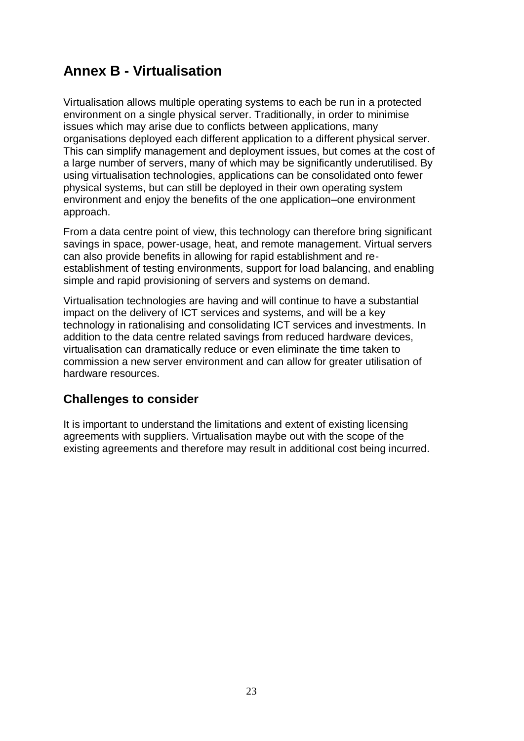# <span id="page-22-0"></span>**Annex B - Virtualisation**

Virtualisation allows multiple operating systems to each be run in a protected environment on a single physical server. Traditionally, in order to minimise issues which may arise due to conflicts between applications, many organisations deployed each different application to a different physical server. This can simplify management and deployment issues, but comes at the cost of a large number of servers, many of which may be significantly underutilised. By using virtualisation technologies, applications can be consolidated onto fewer physical systems, but can still be deployed in their own operating system environment and enjoy the benefits of the one application–one environment approach.

From a data centre point of view, this technology can therefore bring significant savings in space, power-usage, heat, and remote management. Virtual servers can also provide benefits in allowing for rapid establishment and reestablishment of testing environments, support for load balancing, and enabling simple and rapid provisioning of servers and systems on demand.

Virtualisation technologies are having and will continue to have a substantial impact on the delivery of ICT services and systems, and will be a key technology in rationalising and consolidating ICT services and investments. In addition to the data centre related savings from reduced hardware devices, virtualisation can dramatically reduce or even eliminate the time taken to commission a new server environment and can allow for greater utilisation of hardware resources.

### **Challenges to consider**

It is important to understand the limitations and extent of existing licensing agreements with suppliers. Virtualisation maybe out with the scope of the existing agreements and therefore may result in additional cost being incurred.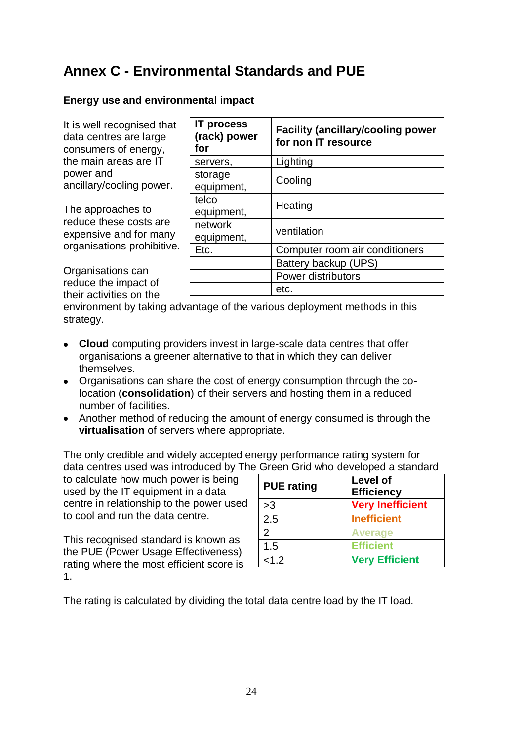# <span id="page-23-0"></span>**Annex C - Environmental Standards and PUE**

### **Energy use and environmental impact**

It is well recognised that data centres are large consumers of energy, the main areas are IT power and ancillary/cooling power.

The approaches to reduce these costs are expensive and for many organisations prohibitive.

Organisations can reduce the impact of their activities on the

| <b>IT process</b><br>(rack) power<br>for | <b>Facility (ancillary/cooling power</b><br>for non IT resource |  |
|------------------------------------------|-----------------------------------------------------------------|--|
| servers,                                 | Lighting                                                        |  |
| storage<br>equipment,                    | Cooling                                                         |  |
| telco<br>equipment,                      | Heating                                                         |  |
| network<br>equipment,                    | ventilation                                                     |  |
| Etc.                                     | Computer room air conditioners                                  |  |
|                                          | Battery backup (UPS)                                            |  |
|                                          | Power distributors                                              |  |
|                                          | etc.                                                            |  |

environment by taking advantage of the various deployment methods in this strategy.

- **Cloud** computing providers invest in large-scale data centres that offer organisations a greener alternative to that in which they can deliver themselves.
- Organisations can share the cost of energy consumption through the colocation (**consolidation**) of their servers and hosting them in a reduced number of facilities.
- Another method of reducing the amount of energy consumed is through the **virtualisation** of servers where appropriate.

The only credible and widely accepted energy performance rating system for data centres used was introduced by The Green Grid who developed a standard

to calculate how much power is being used by the IT equipment in a data centre in relationship to the power used to cool and run the data centre.

This recognised standard is known as the PUE (Power Usage Effectiveness) rating where the most efficient score is 1.

| <b>PUE</b> rating | Level of<br><b>Efficiency</b> |
|-------------------|-------------------------------|
| >3                | <b>Very Inefficient</b>       |
| 2.5               | <b>Inefficient</b>            |
| $\mathcal{P}$     | <b>Average</b>                |
| 1.5               | <b>Efficient</b>              |
| < 1.2             | <b>Very Efficient</b>         |

<span id="page-23-1"></span>The rating is calculated by dividing the total data centre load by the IT load.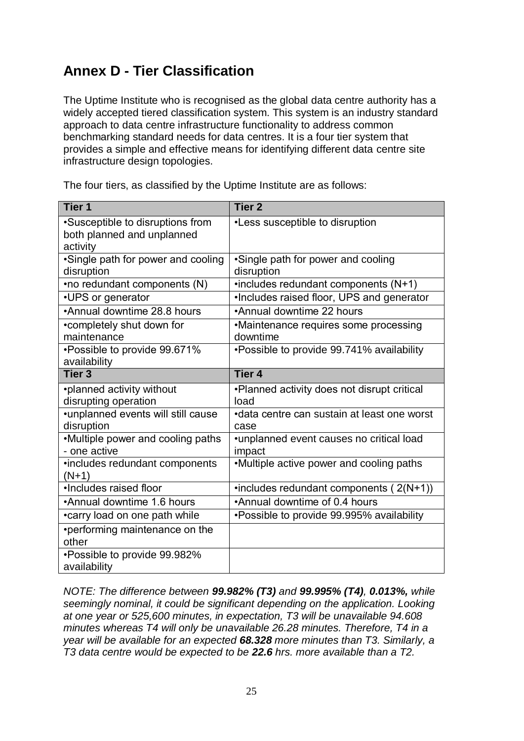# <span id="page-24-0"></span>**Annex D - Tier Classification**

The Uptime Institute who is recognised as the global data centre authority has a widely accepted tiered classification system. This system is an industry standard approach to data centre infrastructure functionality to address common benchmarking standard needs for data centres. It is a four tier system that provides a simple and effective means for identifying different data centre site infrastructure design topologies.

| Tier <sub>1</sub>                                                          | <b>Tier 2</b>                                        |
|----------------------------------------------------------------------------|------------------------------------------------------|
| •Susceptible to disruptions from<br>both planned and unplanned<br>activity | •Less susceptible to disruption                      |
| •Single path for power and cooling<br>disruption                           | •Single path for power and cooling<br>disruption     |
| •no redundant components (N)                                               | $\cdot$ includes redundant components (N+1)          |
| •UPS or generator                                                          | . Includes raised floor, UPS and generator           |
| *Annual downtime 28.8 hours                                                | •Annual downtime 22 hours                            |
| •completely shut down for<br>maintenance                                   | •Maintenance requires some processing<br>downtime    |
| *Possible to provide 99.671%<br>availability                               | •Possible to provide 99.741% availability            |
| <b>Tier 3</b>                                                              | <b>Tier 4</b>                                        |
| •planned activity without<br>disrupting operation                          | •Planned activity does not disrupt critical<br>load  |
| •unplanned events will still cause<br>disruption                           | • data centre can sustain at least one worst<br>case |
| •Multiple power and cooling paths<br>- one active                          | •unplanned event causes no critical load<br>impact   |
| •includes redundant components<br>$(N+1)$                                  | •Multiple active power and cooling paths             |
| ·Includes raised floor                                                     | •includes redundant components (2(N+1))              |
| •Annual downtime 1.6 hours                                                 | •Annual downtime of 0.4 hours                        |
| •carry load on one path while                                              | •Possible to provide 99.995% availability            |
| •performing maintenance on the<br>other                                    |                                                      |
| *Possible to provide 99.982%<br>availability                               |                                                      |

The four tiers, as classified by the Uptime Institute are as follows:

*NOTE: The difference between 99.982% (T3) and 99.995% (T4), 0.013%, while seemingly nominal, it could be significant depending on the application. Looking at one year or 525,600 minutes, in expectation, T3 will be unavailable 94.608 minutes whereas T4 will only be unavailable 26.28 minutes. Therefore, T4 in a year will be available for an expected 68.328 more minutes than T3. Similarly, a T3 data centre would be expected to be 22.6 hrs. more available than a T2.*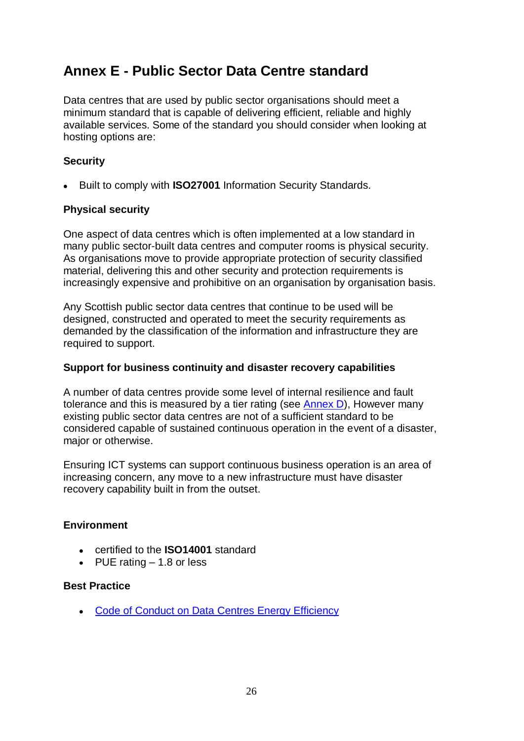# <span id="page-25-0"></span>**Annex E - Public Sector Data Centre standard**

Data centres that are used by public sector organisations should meet a minimum standard that is capable of delivering efficient, reliable and highly available services. Some of the standard you should consider when looking at hosting options are:

### **Security**

Built to comply with **ISO27001** Information Security Standards.

### **Physical security**

One aspect of data centres which is often implemented at a low standard in many public sector-built data centres and computer rooms is physical security. As organisations move to provide appropriate protection of security classified material, delivering this and other security and protection requirements is increasingly expensive and prohibitive on an organisation by organisation basis.

Any Scottish public sector data centres that continue to be used will be designed, constructed and operated to meet the security requirements as demanded by the classification of the information and infrastructure they are required to support.

### **Support for business continuity and disaster recovery capabilities**

A number of data centres provide some level of internal resilience and fault tolerance and this is measured by a tier rating (see [Annex D\)](#page-23-1), However many existing public sector data centres are not of a sufficient standard to be considered capable of sustained continuous operation in the event of a disaster, major or otherwise.

Ensuring ICT systems can support continuous business operation is an area of increasing concern, any move to a new infrastructure must have disaster recovery capability built in from the outset.

### **Environment**

- certified to the **ISO14001** standard
- PUE rating  $-1.8$  or less

### **Best Practice**

• [Code of Conduct on Data Centres](http://iet.jrc.ec.europa.eu/energyefficiency/sites/energyefficiency/files/introductory_guide_v2.0.2.r.pdf) Energy Efficiency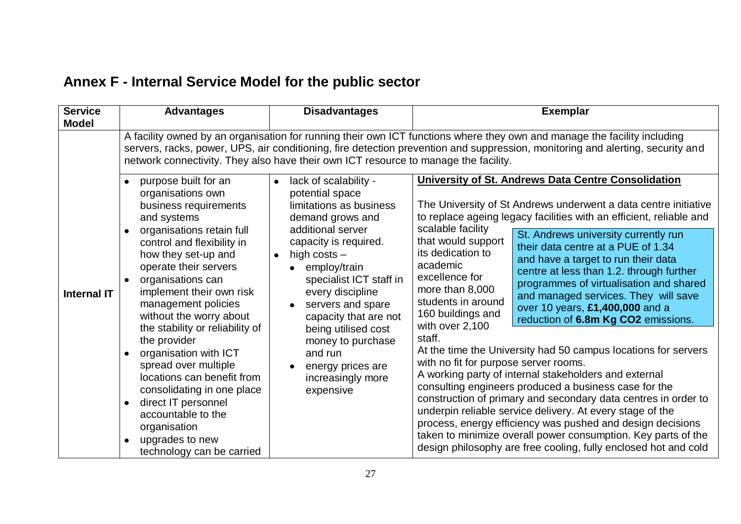# **Annex F - Internal Service Model for the public sector**

<span id="page-26-0"></span>

| <b>Service</b><br><b>Model</b> | <b>Advantages</b>                                                                                                                                                                                                                                                                                                                                                                                                                                                                                                                                                   | <b>Disadvantages</b>                                                                                                                                                                                                                                                                                                                                                                                         | <b>Exemplar</b>                                                                                                                                                                                                                                                                                                                                                                                                                                                                                                                                                                                                                                                                                                                                                                                                                                                                                                                                                                                                                                                                                                                                                                                                 |
|--------------------------------|---------------------------------------------------------------------------------------------------------------------------------------------------------------------------------------------------------------------------------------------------------------------------------------------------------------------------------------------------------------------------------------------------------------------------------------------------------------------------------------------------------------------------------------------------------------------|--------------------------------------------------------------------------------------------------------------------------------------------------------------------------------------------------------------------------------------------------------------------------------------------------------------------------------------------------------------------------------------------------------------|-----------------------------------------------------------------------------------------------------------------------------------------------------------------------------------------------------------------------------------------------------------------------------------------------------------------------------------------------------------------------------------------------------------------------------------------------------------------------------------------------------------------------------------------------------------------------------------------------------------------------------------------------------------------------------------------------------------------------------------------------------------------------------------------------------------------------------------------------------------------------------------------------------------------------------------------------------------------------------------------------------------------------------------------------------------------------------------------------------------------------------------------------------------------------------------------------------------------|
| <b>Internal IT</b>             | network connectivity. They also have their own ICT resource to manage the facility.<br>purpose built for an<br>organisations own<br>business requirements<br>and systems<br>organisations retain full<br>$\bullet$<br>control and flexibility in<br>how they set-up and<br>operate their servers<br>organisations can<br>implement their own risk<br>management policies<br>without the worry about<br>the stability or reliability of<br>the provider<br>organisation with ICT<br>spread over multiple<br>locations can benefit from<br>consolidating in one place | lack of scalability -<br>$\bullet$<br>potential space<br>limitations as business<br>demand grows and<br>additional server<br>capacity is required.<br>high costs $-$<br>$\bullet$<br>employ/train<br>specialist ICT staff in<br>every discipline<br>servers and spare<br>capacity that are not<br>being utilised cost<br>money to purchase<br>and run<br>energy prices are<br>increasingly more<br>expensive | A facility owned by an organisation for running their own ICT functions where they own and manage the facility including<br>servers, racks, power, UPS, air conditioning, fire detection prevention and suppression, monitoring and alerting, security and<br>University of St. Andrews Data Centre Consolidation<br>The University of St Andrews underwent a data centre initiative<br>to replace ageing legacy facilities with an efficient, reliable and<br>scalable facility<br>St. Andrews university currently run<br>that would support<br>their data centre at a PUE of 1.34<br>its dedication to<br>and have a target to run their data<br>academic<br>centre at less than 1.2. through further<br>excellence for<br>programmes of virtualisation and shared<br>more than 8,000<br>and managed services. They will save<br>students in around<br>over 10 years, £1,400,000 and a<br>160 buildings and<br>reduction of 6.8m Kg CO2 emissions.<br>with over 2,100<br>staff.<br>At the time the University had 50 campus locations for servers<br>with no fit for purpose server rooms.<br>A working party of internal stakeholders and external<br>consulting engineers produced a business case for the |
|                                | direct IT personnel<br>$\bullet$<br>accountable to the<br>organisation<br>upgrades to new<br>$\bullet$<br>technology can be carried                                                                                                                                                                                                                                                                                                                                                                                                                                 |                                                                                                                                                                                                                                                                                                                                                                                                              | construction of primary and secondary data centres in order to<br>underpin reliable service delivery. At every stage of the<br>process, energy efficiency was pushed and design decisions<br>taken to minimize overall power consumption. Key parts of the<br>design philosophy are free cooling, fully enclosed hot and cold                                                                                                                                                                                                                                                                                                                                                                                                                                                                                                                                                                                                                                                                                                                                                                                                                                                                                   |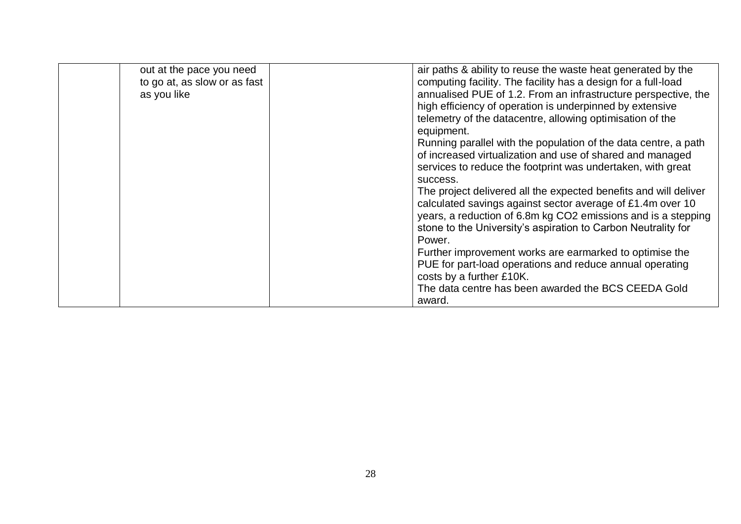| out at the pace you need     | air paths & ability to reuse the waste heat generated by the     |
|------------------------------|------------------------------------------------------------------|
| to go at, as slow or as fast | computing facility. The facility has a design for a full-load    |
| as you like                  | annualised PUE of 1.2. From an infrastructure perspective, the   |
|                              | high efficiency of operation is underpinned by extensive         |
|                              | telemetry of the datacentre, allowing optimisation of the        |
|                              | equipment.                                                       |
|                              | Running parallel with the population of the data centre, a path  |
|                              | of increased virtualization and use of shared and managed        |
|                              | services to reduce the footprint was undertaken, with great      |
|                              | success.                                                         |
|                              | The project delivered all the expected benefits and will deliver |
|                              | calculated savings against sector average of £1.4m over 10       |
|                              | years, a reduction of 6.8m kg CO2 emissions and is a stepping    |
|                              | stone to the University's aspiration to Carbon Neutrality for    |
|                              | Power.                                                           |
|                              | Further improvement works are earmarked to optimise the          |
|                              | PUE for part-load operations and reduce annual operating         |
|                              | costs by a further £10K.                                         |
|                              | The data centre has been awarded the BCS CEEDA Gold              |
|                              | award.                                                           |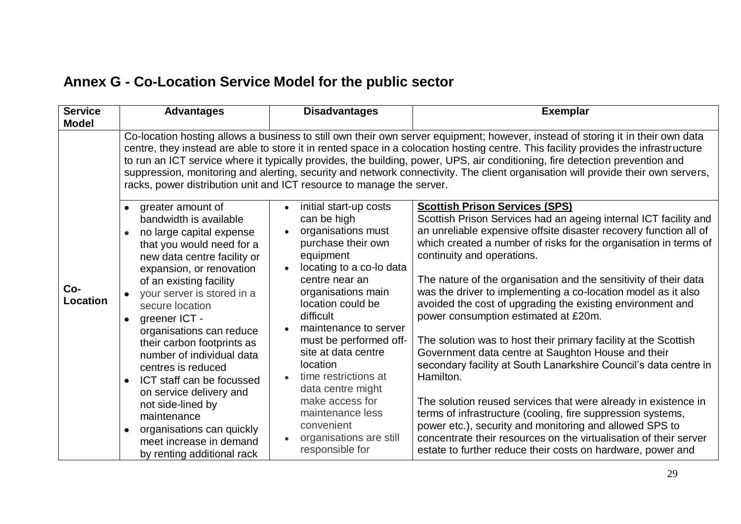# **Annex G - Co-Location Service Model for the public sector**

<span id="page-28-0"></span>

| <b>Service</b>  | <b>Advantages</b>                                                                                                                                                                                                                                                            | <b>Disadvantages</b>                                                                                                                                                                                             | <b>Exemplar</b>                                                                                                                                                                                                                                                                                                                                                                                                                                                                                                                                                                     |
|-----------------|------------------------------------------------------------------------------------------------------------------------------------------------------------------------------------------------------------------------------------------------------------------------------|------------------------------------------------------------------------------------------------------------------------------------------------------------------------------------------------------------------|-------------------------------------------------------------------------------------------------------------------------------------------------------------------------------------------------------------------------------------------------------------------------------------------------------------------------------------------------------------------------------------------------------------------------------------------------------------------------------------------------------------------------------------------------------------------------------------|
| <b>Model</b>    | racks, power distribution unit and ICT resource to manage the server.<br>greater amount of                                                                                                                                                                                   | initial start-up costs                                                                                                                                                                                           | Co-location hosting allows a business to still own their own server equipment; however, instead of storing it in their own data<br>centre, they instead are able to store it in rented space in a colocation hosting centre. This facility provides the infrastructure<br>to run an ICT service where it typically provides, the building, power, UPS, air conditioning, fire detection prevention and<br>suppression, monitoring and alerting, security and network connectivity. The client organisation will provide their own servers,<br><b>Scottish Prison Services (SPS)</b> |
| Co-<br>Location | bandwidth is available<br>no large capital expense<br>that you would need for a<br>new data centre facility or<br>expansion, or renovation<br>of an existing facility<br>your server is stored in a<br>secure location<br>greener ICT -<br>organisations can reduce          | can be high<br>organisations must<br>purchase their own<br>equipment<br>locating to a co-lo data<br>centre near an<br>organisations main<br>location could be<br>difficult<br>maintenance to server              | Scottish Prison Services had an ageing internal ICT facility and<br>an unreliable expensive offsite disaster recovery function all of<br>which created a number of risks for the organisation in terms of<br>continuity and operations.<br>The nature of the organisation and the sensitivity of their data<br>was the driver to implementing a co-location model as it also<br>avoided the cost of upgrading the existing environment and<br>power consumption estimated at £20m.                                                                                                  |
|                 | their carbon footprints as<br>number of individual data<br>centres is reduced<br>ICT staff can be focussed<br>on service delivery and<br>not side-lined by<br>maintenance<br>organisations can quickly<br>$\bullet$<br>meet increase in demand<br>by renting additional rack | must be performed off-<br>site at data centre<br><b>location</b><br>time restrictions at<br>data centre might<br>make access for<br>maintenance less<br>convenient<br>organisations are still<br>responsible for | The solution was to host their primary facility at the Scottish<br>Government data centre at Saughton House and their<br>secondary facility at South Lanarkshire Council's data centre in<br>Hamilton.<br>The solution reused services that were already in existence in<br>terms of infrastructure (cooling, fire suppression systems,<br>power etc.), security and monitoring and allowed SPS to<br>concentrate their resources on the virtualisation of their server<br>estate to further reduce their costs on hardware, power and                                              |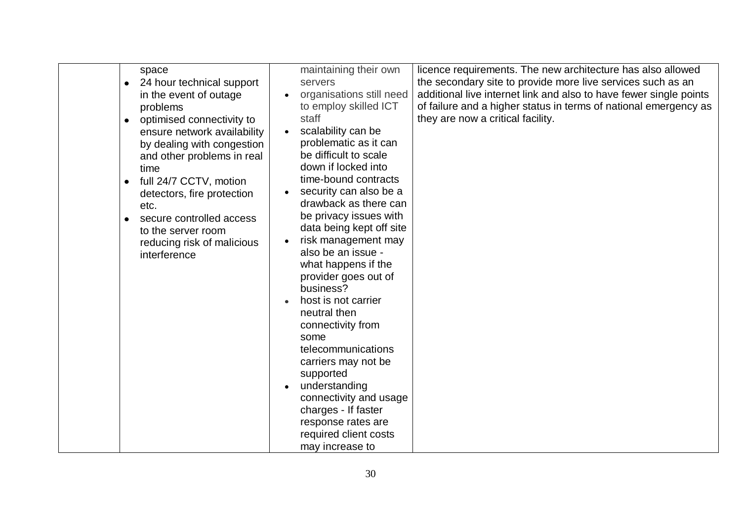| 24 hour technical support<br>servers<br>in the event of outage<br>problems<br>staff<br>optimised connectivity to<br>$\bullet$<br>ensure network availability<br>by dealing with congestion<br>and other problems in real<br>time<br>full 24/7 CCTV, motion<br>$\bullet$<br>detectors, fire protection<br>etc.<br>secure controlled access<br>$\bullet$<br>to the server room<br>reducing risk of malicious<br>interference<br>business?<br>neutral then<br>connectivity from<br>some<br>telecommunications<br>carriers may not be<br>supported | the secondary site to provide more live services such as an<br>additional live internet link and also to have fewer single points<br>organisations still need<br>to employ skilled ICT<br>of failure and a higher status in terms of national emergency as<br>they are now a critical facility.<br>scalability can be<br>problematic as it can<br>be difficult to scale<br>down if locked into<br>time-bound contracts<br>security can also be a<br>drawback as there can<br>be privacy issues with<br>data being kept off site<br>risk management may<br>also be an issue -<br>what happens if the<br>provider goes out of<br>host is not carrier |
|------------------------------------------------------------------------------------------------------------------------------------------------------------------------------------------------------------------------------------------------------------------------------------------------------------------------------------------------------------------------------------------------------------------------------------------------------------------------------------------------------------------------------------------------|----------------------------------------------------------------------------------------------------------------------------------------------------------------------------------------------------------------------------------------------------------------------------------------------------------------------------------------------------------------------------------------------------------------------------------------------------------------------------------------------------------------------------------------------------------------------------------------------------------------------------------------------------|
|------------------------------------------------------------------------------------------------------------------------------------------------------------------------------------------------------------------------------------------------------------------------------------------------------------------------------------------------------------------------------------------------------------------------------------------------------------------------------------------------------------------------------------------------|----------------------------------------------------------------------------------------------------------------------------------------------------------------------------------------------------------------------------------------------------------------------------------------------------------------------------------------------------------------------------------------------------------------------------------------------------------------------------------------------------------------------------------------------------------------------------------------------------------------------------------------------------|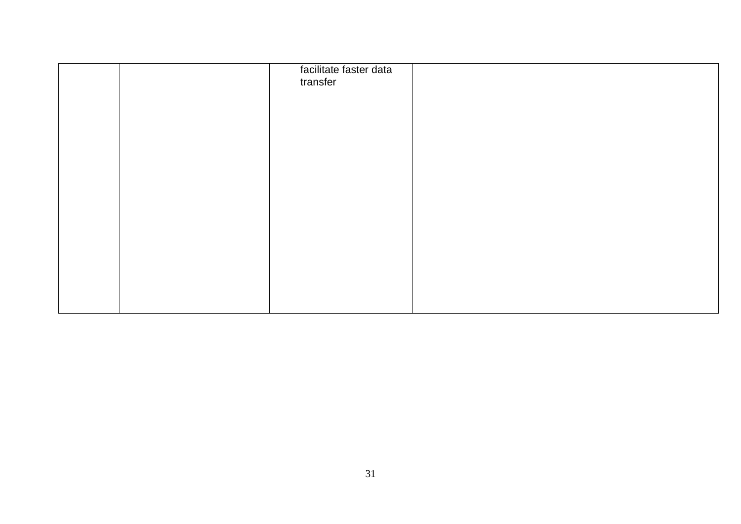|  | facilitate faster data<br>transfer |  |
|--|------------------------------------|--|
|  |                                    |  |
|  |                                    |  |
|  |                                    |  |
|  |                                    |  |
|  |                                    |  |
|  |                                    |  |
|  |                                    |  |
|  |                                    |  |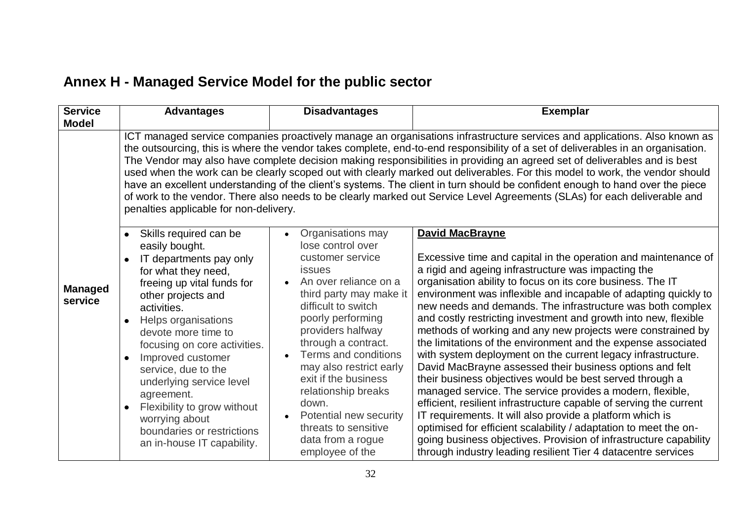# **Annex H - Managed Service Model for the public sector**

<span id="page-31-0"></span>

| <b>Service</b><br><b>Model</b> | <b>Advantages</b>                                                                                                                                                                                                                                                                                                                                                                                                                                                                                                                                                                                                                                                                                                                                                                                                                  | <b>Disadvantages</b>                                                                                                                                                                                                                                                                                                                                                                                                                      | <b>Exemplar</b>                                                                                                                                                                                                                                                                                                                                                                                                                                                                                                                                                                                                                                                                                                                                                                                                                                                                                                                                                                                                                                                                                                                                     |  |  |
|--------------------------------|------------------------------------------------------------------------------------------------------------------------------------------------------------------------------------------------------------------------------------------------------------------------------------------------------------------------------------------------------------------------------------------------------------------------------------------------------------------------------------------------------------------------------------------------------------------------------------------------------------------------------------------------------------------------------------------------------------------------------------------------------------------------------------------------------------------------------------|-------------------------------------------------------------------------------------------------------------------------------------------------------------------------------------------------------------------------------------------------------------------------------------------------------------------------------------------------------------------------------------------------------------------------------------------|-----------------------------------------------------------------------------------------------------------------------------------------------------------------------------------------------------------------------------------------------------------------------------------------------------------------------------------------------------------------------------------------------------------------------------------------------------------------------------------------------------------------------------------------------------------------------------------------------------------------------------------------------------------------------------------------------------------------------------------------------------------------------------------------------------------------------------------------------------------------------------------------------------------------------------------------------------------------------------------------------------------------------------------------------------------------------------------------------------------------------------------------------------|--|--|
|                                | ICT managed service companies proactively manage an organisations infrastructure services and applications. Also known as<br>the outsourcing, this is where the vendor takes complete, end-to-end responsibility of a set of deliverables in an organisation.<br>The Vendor may also have complete decision making responsibilities in providing an agreed set of deliverables and is best<br>used when the work can be clearly scoped out with clearly marked out deliverables. For this model to work, the vendor should<br>have an excellent understanding of the client's systems. The client in turn should be confident enough to hand over the piece<br>of work to the vendor. There also needs to be clearly marked out Service Level Agreements (SLAs) for each deliverable and<br>penalties applicable for non-delivery. |                                                                                                                                                                                                                                                                                                                                                                                                                                           |                                                                                                                                                                                                                                                                                                                                                                                                                                                                                                                                                                                                                                                                                                                                                                                                                                                                                                                                                                                                                                                                                                                                                     |  |  |
| <b>Managed</b><br>service      | Skills required can be<br>$\bullet$<br>easily bought.<br>IT departments pay only<br>for what they need,<br>freeing up vital funds for<br>other projects and<br>activities.<br>Helps organisations<br>$\bullet$<br>devote more time to<br>focusing on core activities.<br>Improved customer<br>service, due to the<br>underlying service level<br>agreement.<br>Flexibility to grow without<br>$\bullet$<br>worrying about<br>boundaries or restrictions<br>an in-house IT capability.                                                                                                                                                                                                                                                                                                                                              | Organisations may<br>$\bullet$<br>lose control over<br>customer service<br><b>issues</b><br>An over reliance on a<br>third party may make it<br>difficult to switch<br>poorly performing<br>providers halfway<br>through a contract.<br>Terms and conditions<br>may also restrict early<br>exit if the business<br>relationship breaks<br>down.<br>Potential new security<br>threats to sensitive<br>data from a rogue<br>employee of the | <b>David MacBrayne</b><br>Excessive time and capital in the operation and maintenance of<br>a rigid and ageing infrastructure was impacting the<br>organisation ability to focus on its core business. The IT<br>environment was inflexible and incapable of adapting quickly to<br>new needs and demands. The infrastructure was both complex<br>and costly restricting investment and growth into new, flexible<br>methods of working and any new projects were constrained by<br>the limitations of the environment and the expense associated<br>with system deployment on the current legacy infrastructure.<br>David MacBrayne assessed their business options and felt<br>their business objectives would be best served through a<br>managed service. The service provides a modern, flexible,<br>efficient, resilient infrastructure capable of serving the current<br>IT requirements. It will also provide a platform which is<br>optimised for efficient scalability / adaptation to meet the on-<br>going business objectives. Provision of infrastructure capability<br>through industry leading resilient Tier 4 datacentre services |  |  |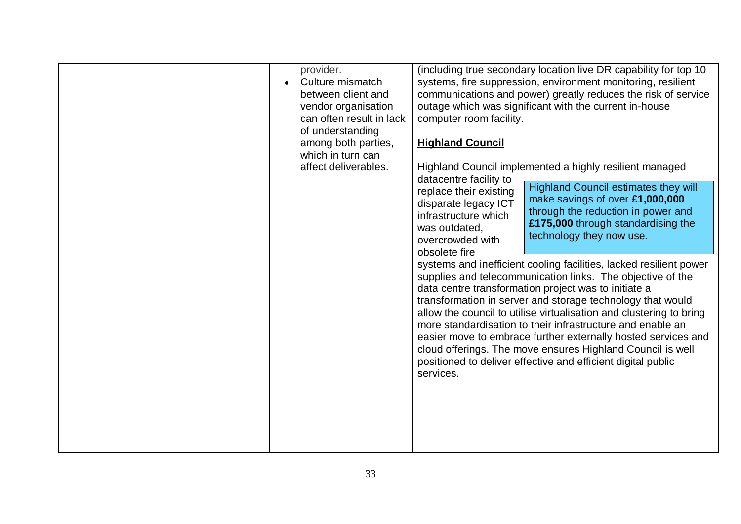|  | provider.<br>Culture mismatch<br>between client and<br>vendor organisation<br>can often result in lack<br>of understanding<br>among both parties,<br>which in turn can<br>affect deliverables. | computer room facility.<br><b>Highland Council</b><br>datacentre facility to<br>replace their existing<br>disparate legacy ICT<br>infrastructure which<br>was outdated,<br>overcrowded with<br>obsolete fire<br>services. | (including true secondary location live DR capability for top 10<br>systems, fire suppression, environment monitoring, resilient<br>communications and power) greatly reduces the risk of service<br>outage which was significant with the current in-house<br>Highland Council implemented a highly resilient managed<br><b>Highland Council estimates they will</b><br>make savings of over £1,000,000<br>through the reduction in power and<br>£175,000 through standardising the<br>technology they now use.<br>systems and inefficient cooling facilities, lacked resilient power<br>supplies and telecommunication links. The objective of the<br>data centre transformation project was to initiate a<br>transformation in server and storage technology that would<br>allow the council to utilise virtualisation and clustering to bring<br>more standardisation to their infrastructure and enable an<br>easier move to embrace further externally hosted services and<br>cloud offerings. The move ensures Highland Council is well<br>positioned to deliver effective and efficient digital public |
|--|------------------------------------------------------------------------------------------------------------------------------------------------------------------------------------------------|---------------------------------------------------------------------------------------------------------------------------------------------------------------------------------------------------------------------------|----------------------------------------------------------------------------------------------------------------------------------------------------------------------------------------------------------------------------------------------------------------------------------------------------------------------------------------------------------------------------------------------------------------------------------------------------------------------------------------------------------------------------------------------------------------------------------------------------------------------------------------------------------------------------------------------------------------------------------------------------------------------------------------------------------------------------------------------------------------------------------------------------------------------------------------------------------------------------------------------------------------------------------------------------------------------------------------------------------------|
|  |                                                                                                                                                                                                |                                                                                                                                                                                                                           |                                                                                                                                                                                                                                                                                                                                                                                                                                                                                                                                                                                                                                                                                                                                                                                                                                                                                                                                                                                                                                                                                                                |
|  |                                                                                                                                                                                                |                                                                                                                                                                                                                           |                                                                                                                                                                                                                                                                                                                                                                                                                                                                                                                                                                                                                                                                                                                                                                                                                                                                                                                                                                                                                                                                                                                |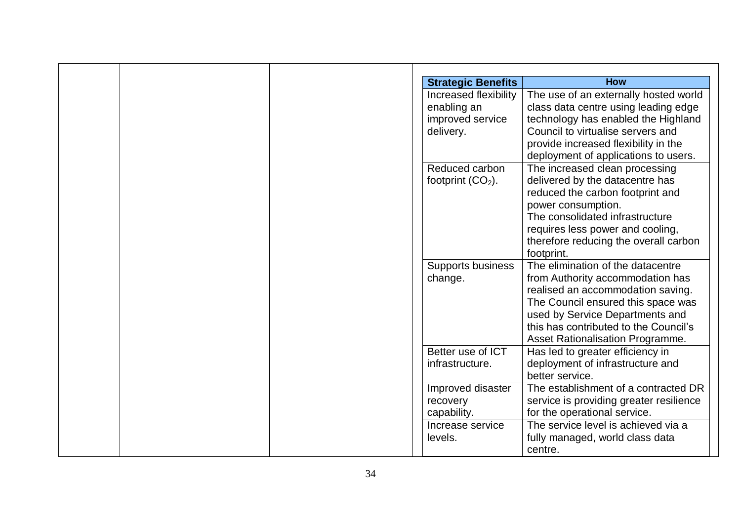| <b>Strategic Benefits</b> | <b>How</b>                              |
|---------------------------|-----------------------------------------|
| Increased flexibility     | The use of an externally hosted world   |
| enabling an               | class data centre using leading edge    |
| improved service          | technology has enabled the Highland     |
| delivery.                 | Council to virtualise servers and       |
|                           | provide increased flexibility in the    |
|                           | deployment of applications to users.    |
| Reduced carbon            | The increased clean processing          |
| footprint $(CO2)$ .       | delivered by the datacentre has         |
|                           | reduced the carbon footprint and        |
|                           | power consumption.                      |
|                           | The consolidated infrastructure         |
|                           | requires less power and cooling,        |
|                           | therefore reducing the overall carbon   |
|                           | footprint.                              |
| <b>Supports business</b>  | The elimination of the datacentre       |
| change.                   | from Authority accommodation has        |
|                           | realised an accommodation saving.       |
|                           | The Council ensured this space was      |
|                           | used by Service Departments and         |
|                           | this has contributed to the Council's   |
|                           | Asset Rationalisation Programme.        |
| Better use of ICT         | Has led to greater efficiency in        |
| infrastructure.           | deployment of infrastructure and        |
|                           | better service.                         |
| Improved disaster         | The establishment of a contracted DR    |
| recovery                  | service is providing greater resilience |
| capability.               | for the operational service.            |
| Increase service          | The service level is achieved via a     |
|                           | fully managed, world class data         |
|                           | centre.                                 |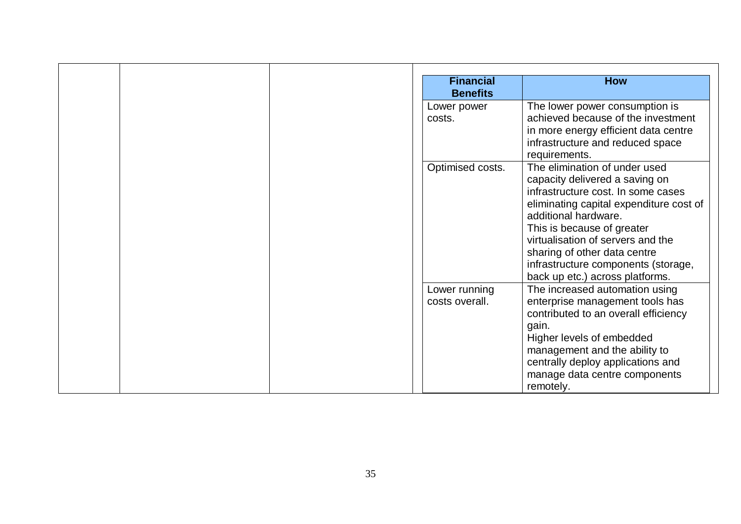| <b>Financial</b><br><b>How</b><br><b>Benefits</b> |  |
|---------------------------------------------------|--|
| The lower power consumption is<br>Lower power     |  |
| achieved because of the investment<br>costs.      |  |
| in more energy efficient data centre              |  |
| infrastructure and reduced space                  |  |
| requirements.                                     |  |
| Optimised costs.<br>The elimination of under used |  |
| capacity delivered a saving on                    |  |
| infrastructure cost. In some cases                |  |
| eliminating capital expenditure cost of           |  |
| additional hardware.                              |  |
| This is because of greater                        |  |
| virtualisation of servers and the                 |  |
| sharing of other data centre                      |  |
| infrastructure components (storage,               |  |
| back up etc.) across platforms.                   |  |
| Lower running<br>The increased automation using   |  |
| enterprise management tools has<br>costs overall. |  |
| contributed to an overall efficiency              |  |
| gain.                                             |  |
| Higher levels of embedded                         |  |
| management and the ability to                     |  |
| centrally deploy applications and                 |  |
| manage data centre components                     |  |
| remotely.                                         |  |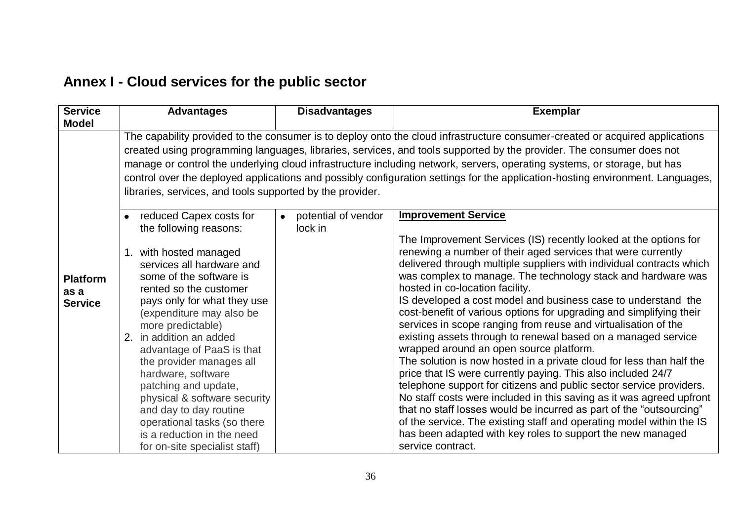# **Annex I - Cloud services for the public sector**

<span id="page-35-0"></span>

| <b>Service</b><br><b>Model</b>            | <b>Advantages</b>                                                                                                                                                                                                                                                                                                                                                                                                                                                                                                                                                               | <b>Disadvantages</b>                        | <b>Exemplar</b>                                                                                                                                                                                                                                                                                                                                                                                                                                                                                                                                                                                                                                                                                                                                                                                                                                                                                                                                                                                                                                                                                                                                                                          |  |  |
|-------------------------------------------|---------------------------------------------------------------------------------------------------------------------------------------------------------------------------------------------------------------------------------------------------------------------------------------------------------------------------------------------------------------------------------------------------------------------------------------------------------------------------------------------------------------------------------------------------------------------------------|---------------------------------------------|------------------------------------------------------------------------------------------------------------------------------------------------------------------------------------------------------------------------------------------------------------------------------------------------------------------------------------------------------------------------------------------------------------------------------------------------------------------------------------------------------------------------------------------------------------------------------------------------------------------------------------------------------------------------------------------------------------------------------------------------------------------------------------------------------------------------------------------------------------------------------------------------------------------------------------------------------------------------------------------------------------------------------------------------------------------------------------------------------------------------------------------------------------------------------------------|--|--|
|                                           | The capability provided to the consumer is to deploy onto the cloud infrastructure consumer-created or acquired applications<br>created using programming languages, libraries, services, and tools supported by the provider. The consumer does not<br>manage or control the underlying cloud infrastructure including network, servers, operating systems, or storage, but has<br>control over the deployed applications and possibly configuration settings for the application-hosting environment. Languages,<br>libraries, services, and tools supported by the provider. |                                             |                                                                                                                                                                                                                                                                                                                                                                                                                                                                                                                                                                                                                                                                                                                                                                                                                                                                                                                                                                                                                                                                                                                                                                                          |  |  |
| <b>Platform</b><br>as a<br><b>Service</b> | reduced Capex costs for<br>the following reasons:<br>1. with hosted managed<br>services all hardware and<br>some of the software is<br>rented so the customer<br>pays only for what they use<br>(expenditure may also be<br>more predictable)<br>2. in addition an added<br>advantage of PaaS is that<br>the provider manages all<br>hardware, software<br>patching and update,<br>physical & software security<br>and day to day routine<br>operational tasks (so there<br>is a reduction in the need<br>for on-site specialist staff)                                         | potential of vendor<br>$\bullet$<br>lock in | <b>Improvement Service</b><br>The Improvement Services (IS) recently looked at the options for<br>renewing a number of their aged services that were currently<br>delivered through multiple suppliers with individual contracts which<br>was complex to manage. The technology stack and hardware was<br>hosted in co-location facility.<br>IS developed a cost model and business case to understand the<br>cost-benefit of various options for upgrading and simplifying their<br>services in scope ranging from reuse and virtualisation of the<br>existing assets through to renewal based on a managed service<br>wrapped around an open source platform.<br>The solution is now hosted in a private cloud for less than half the<br>price that IS were currently paying. This also included 24/7<br>telephone support for citizens and public sector service providers.<br>No staff costs were included in this saving as it was agreed upfront<br>that no staff losses would be incurred as part of the "outsourcing"<br>of the service. The existing staff and operating model within the IS<br>has been adapted with key roles to support the new managed<br>service contract. |  |  |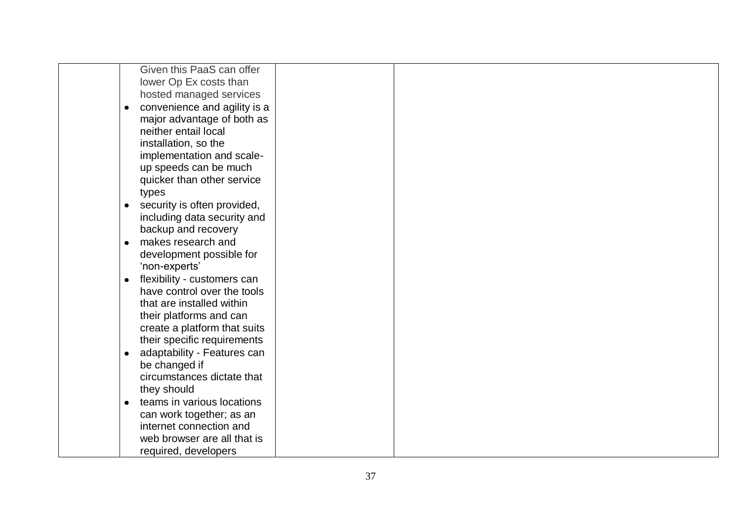| Given this PaaS can offer                 |  |  |
|-------------------------------------------|--|--|
| lower Op Ex costs than                    |  |  |
| hosted managed services                   |  |  |
| convenience and agility is a<br>$\bullet$ |  |  |
| major advantage of both as                |  |  |
| neither entail local                      |  |  |
| installation, so the                      |  |  |
| implementation and scale-                 |  |  |
| up speeds can be much                     |  |  |
| quicker than other service                |  |  |
| types                                     |  |  |
| security is often provided,<br>$\bullet$  |  |  |
| including data security and               |  |  |
| backup and recovery                       |  |  |
| makes research and<br>$\bullet$           |  |  |
| development possible for                  |  |  |
| 'non-experts'                             |  |  |
| flexibility - customers can<br>$\bullet$  |  |  |
| have control over the tools               |  |  |
| that are installed within                 |  |  |
| their platforms and can                   |  |  |
| create a platform that suits              |  |  |
| their specific requirements               |  |  |
| adaptability - Features can<br>$\bullet$  |  |  |
| be changed if                             |  |  |
| circumstances dictate that                |  |  |
| they should                               |  |  |
| teams in various locations<br>$\bullet$   |  |  |
| can work together; as an                  |  |  |
| internet connection and                   |  |  |
| web browser are all that is               |  |  |
| required, developers                      |  |  |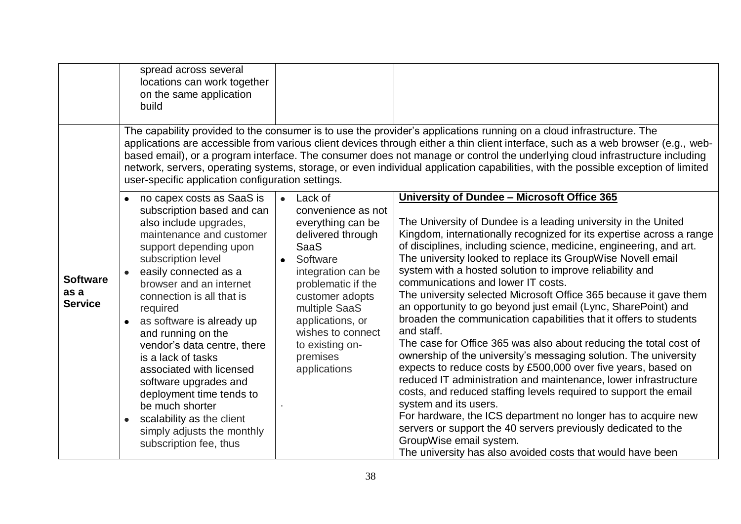|                                           | spread across several<br>locations can work together<br>on the same application<br>build                                                                                                                                                                                                                                                                                                                                                                                                                                                                    |                                                                                                                                                                                                                                                                                         |                                                                                                                                                                                                                                                                                                                                                                                                                                                                                                                                                                                                                                                                                                                                                                                                                                                                                                                                                                                                                                                                                                                                                                                                                                                            |
|-------------------------------------------|-------------------------------------------------------------------------------------------------------------------------------------------------------------------------------------------------------------------------------------------------------------------------------------------------------------------------------------------------------------------------------------------------------------------------------------------------------------------------------------------------------------------------------------------------------------|-----------------------------------------------------------------------------------------------------------------------------------------------------------------------------------------------------------------------------------------------------------------------------------------|------------------------------------------------------------------------------------------------------------------------------------------------------------------------------------------------------------------------------------------------------------------------------------------------------------------------------------------------------------------------------------------------------------------------------------------------------------------------------------------------------------------------------------------------------------------------------------------------------------------------------------------------------------------------------------------------------------------------------------------------------------------------------------------------------------------------------------------------------------------------------------------------------------------------------------------------------------------------------------------------------------------------------------------------------------------------------------------------------------------------------------------------------------------------------------------------------------------------------------------------------------|
|                                           | user-specific application configuration settings.                                                                                                                                                                                                                                                                                                                                                                                                                                                                                                           |                                                                                                                                                                                                                                                                                         | The capability provided to the consumer is to use the provider's applications running on a cloud infrastructure. The<br>applications are accessible from various client devices through either a thin client interface, such as a web browser (e.g., web-<br>based email), or a program interface. The consumer does not manage or control the underlying cloud infrastructure including<br>network, servers, operating systems, storage, or even individual application capabilities, with the possible exception of limited                                                                                                                                                                                                                                                                                                                                                                                                                                                                                                                                                                                                                                                                                                                              |
| <b>Software</b><br>as a<br><b>Service</b> | no capex costs as SaaS is<br>subscription based and can<br>also include upgrades,<br>maintenance and customer<br>support depending upon<br>subscription level<br>easily connected as a<br>browser and an internet<br>connection is all that is<br>required<br>as software is already up<br>and running on the<br>vendor's data centre, there<br>is a lack of tasks<br>associated with licensed<br>software upgrades and<br>deployment time tends to<br>be much shorter<br>scalability as the client<br>simply adjusts the monthly<br>subscription fee, thus | Lack of<br>$\bullet$<br>convenience as not<br>everything can be<br>delivered through<br><b>SaaS</b><br>Software<br>integration can be<br>problematic if the<br>customer adopts<br>multiple SaaS<br>applications, or<br>wishes to connect<br>to existing on-<br>premises<br>applications | University of Dundee - Microsoft Office 365<br>The University of Dundee is a leading university in the United<br>Kingdom, internationally recognized for its expertise across a range<br>of disciplines, including science, medicine, engineering, and art.<br>The university looked to replace its GroupWise Novell email<br>system with a hosted solution to improve reliability and<br>communications and lower IT costs.<br>The university selected Microsoft Office 365 because it gave them<br>an opportunity to go beyond just email (Lync, SharePoint) and<br>broaden the communication capabilities that it offers to students<br>and staff.<br>The case for Office 365 was also about reducing the total cost of<br>ownership of the university's messaging solution. The university<br>expects to reduce costs by £500,000 over five years, based on<br>reduced IT administration and maintenance, lower infrastructure<br>costs, and reduced staffing levels required to support the email<br>system and its users.<br>For hardware, the ICS department no longer has to acquire new<br>servers or support the 40 servers previously dedicated to the<br>GroupWise email system.<br>The university has also avoided costs that would have been |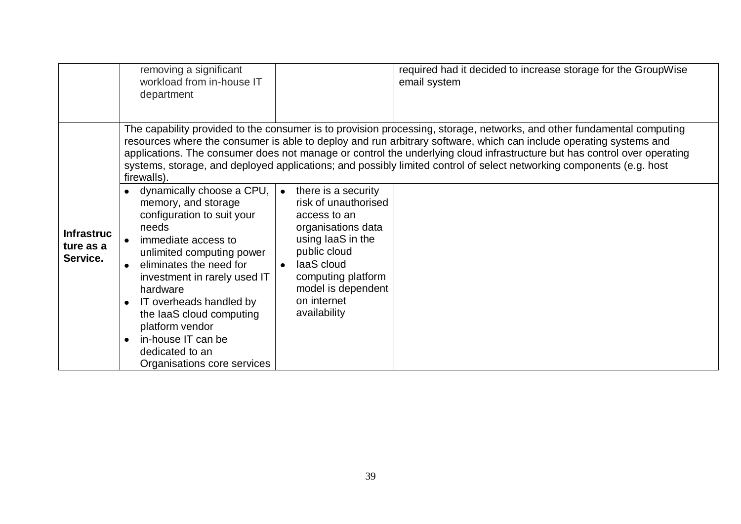|                                            | removing a significant<br>workload from in-house IT<br>department                                                                                                                                                                                                                                                                   |                                                                                                                                                                                                                                           | required had it decided to increase storage for the GroupWise<br>email system                                                                                                                                                                                                                                                                                                                                                                                                                    |
|--------------------------------------------|-------------------------------------------------------------------------------------------------------------------------------------------------------------------------------------------------------------------------------------------------------------------------------------------------------------------------------------|-------------------------------------------------------------------------------------------------------------------------------------------------------------------------------------------------------------------------------------------|--------------------------------------------------------------------------------------------------------------------------------------------------------------------------------------------------------------------------------------------------------------------------------------------------------------------------------------------------------------------------------------------------------------------------------------------------------------------------------------------------|
| <b>Infrastruc</b><br>ture as a<br>Service. | firewalls).<br>• dynamically choose a CPU,<br>memory, and storage<br>configuration to suit your<br>needs<br>immediate access to<br>unlimited computing power<br>eliminates the need for<br>investment in rarely used IT<br>hardware<br>IT overheads handled by<br>the laaS cloud computing<br>platform vendor<br>in-house IT can be | there is a security<br>$\bullet$<br>risk of unauthorised<br>access to an<br>organisations data<br>using laaS in the<br>public cloud<br>laaS cloud<br>$\bullet$<br>computing platform<br>model is dependent<br>on internet<br>availability | The capability provided to the consumer is to provision processing, storage, networks, and other fundamental computing<br>resources where the consumer is able to deploy and run arbitrary software, which can include operating systems and<br>applications. The consumer does not manage or control the underlying cloud infrastructure but has control over operating<br>systems, storage, and deployed applications; and possibly limited control of select networking components (e.g. host |
|                                            | dedicated to an<br>Organisations core services                                                                                                                                                                                                                                                                                      |                                                                                                                                                                                                                                           |                                                                                                                                                                                                                                                                                                                                                                                                                                                                                                  |